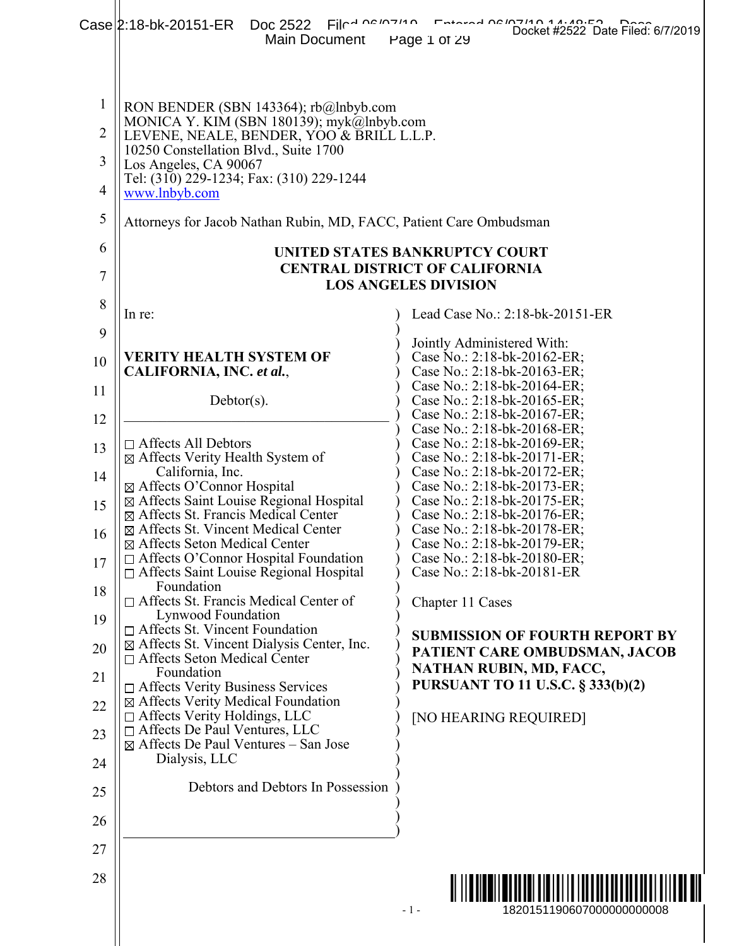|                | $File4 Using 140$<br>Case 2:18-bk-20151-ER Doc 2522<br>Main Document                                                            | Entered Of 1214 O 14140.50<br>Docket #2522 Date Filed: 6/7/2019<br>Page 1 of 29 |
|----------------|---------------------------------------------------------------------------------------------------------------------------------|---------------------------------------------------------------------------------|
| $\mathbf 1$    | RON BENDER (SBN 143364); rb@lnbyb.com                                                                                           |                                                                                 |
| $\overline{2}$ | MONICA Y. KIM (SBN 180139); myk@lnbyb.com<br>LEVENE, NEALE, BENDER, YOO & BRILL L.L.P.<br>10250 Constellation Blvd., Suite 1700 |                                                                                 |
| 3              | Los Angeles, CA 90067<br>Tel: (310) 229-1234; Fax: (310) 229-1244                                                               |                                                                                 |
| $\overline{4}$ | www.lnbyb.com                                                                                                                   |                                                                                 |
| 5              | Attorneys for Jacob Nathan Rubin, MD, FACC, Patient Care Ombudsman                                                              |                                                                                 |
| 6              |                                                                                                                                 | UNITED STATES BANKRUPTCY COURT                                                  |
| 7              |                                                                                                                                 | <b>CENTRAL DISTRICT OF CALIFORNIA</b><br><b>LOS ANGELES DIVISION</b>            |
| 8              | In re:                                                                                                                          | Lead Case No.: 2:18-bk-20151-ER                                                 |
| 9              |                                                                                                                                 | Jointly Administered With:                                                      |
| 10             | <b>VERITY HEALTH SYSTEM OF</b><br>CALIFORNIA, INC. et al.,                                                                      | Case No.: 2:18-bk-20162-ER;<br>Case No.: 2:18-bk-20163-ER;                      |
| 11             | $Dektor(s)$ .                                                                                                                   | Case No.: 2:18-bk-20164-ER;<br>Case No.: 2:18-bk-20165-ER;                      |
| 12             |                                                                                                                                 | Case No.: 2:18-bk-20167-ER;<br>Case No.: 2:18-bk-20168-ER;                      |
| 13             | $\Box$ Affects All Debtors<br>⊠ Affects Verity Health System of                                                                 | Case No.: 2:18-bk-20169-ER;<br>Case No.: 2:18-bk-20171-ER;                      |
| 14             | California, Inc.                                                                                                                | Case No.: 2:18-bk-20172-ER;                                                     |
| 15             | ⊠ Affects O'Connor Hospital<br>⊠ Affects Saint Louise Regional Hospital                                                         | Case No.: 2:18-bk-20173-ER;<br>Case No.: 2:18-bk-20175-ER;                      |
| 16             | ⊠ Affects St. Francis Medical Center<br>⊠ Affects St. Vincent Medical Center                                                    | Case No.: 2:18-bk-20176-ER;<br>Case No.: 2:18-bk-20178-ER;                      |
|                | ⊠ Affects Seton Medical Center<br>$\Box$ Affects O'Connor Hospital Foundation                                                   | Case No.: 2:18-bk-20179-ER;<br>Case No.: 2:18-bk-20180-ER;                      |
| 17<br>18       | □ Affects Saint Louise Regional Hospital<br>Foundation                                                                          | Case No.: 2:18-bk-20181-ER                                                      |
| 19             | □ Affects St. Francis Medical Center of<br>Lynwood Foundation                                                                   | Chapter 11 Cases                                                                |
| 20             | $\Box$ Affects St. Vincent Foundation<br>$\boxtimes$ Affects St. Vincent Dialysis Center, Inc.                                  | <b>SUBMISSION OF FOURTH REPORT BY</b><br>PATIENT CARE OMBUDSMAN, JACOB          |
| 21             | $\Box$ Affects Seton Medical Center<br>Foundation<br>$\Box$ Affects Verity Business Services                                    | NATHAN RUBIN, MD, FACC,<br>PURSUANT TO 11 U.S.C. § 333(b)(2)                    |
| 22             | ⊠ Affects Verity Medical Foundation<br>$\Box$ Affects Verity Holdings, LLC                                                      | [NO HEARING REQUIRED]                                                           |
| 23             | □ Affects De Paul Ventures, LLC<br>$\boxtimes$ Affects De Paul Ventures – San Jose                                              |                                                                                 |
| 24             | Dialysis, LLC                                                                                                                   |                                                                                 |
| 25             | Debtors and Debtors In Possession                                                                                               |                                                                                 |
| 26             |                                                                                                                                 |                                                                                 |
| 27             |                                                                                                                                 |                                                                                 |
| 28             |                                                                                                                                 | <u>                                      </u>                                   |
|                |                                                                                                                                 | $-1-$<br>1820151190607000000000008                                              |
|                |                                                                                                                                 |                                                                                 |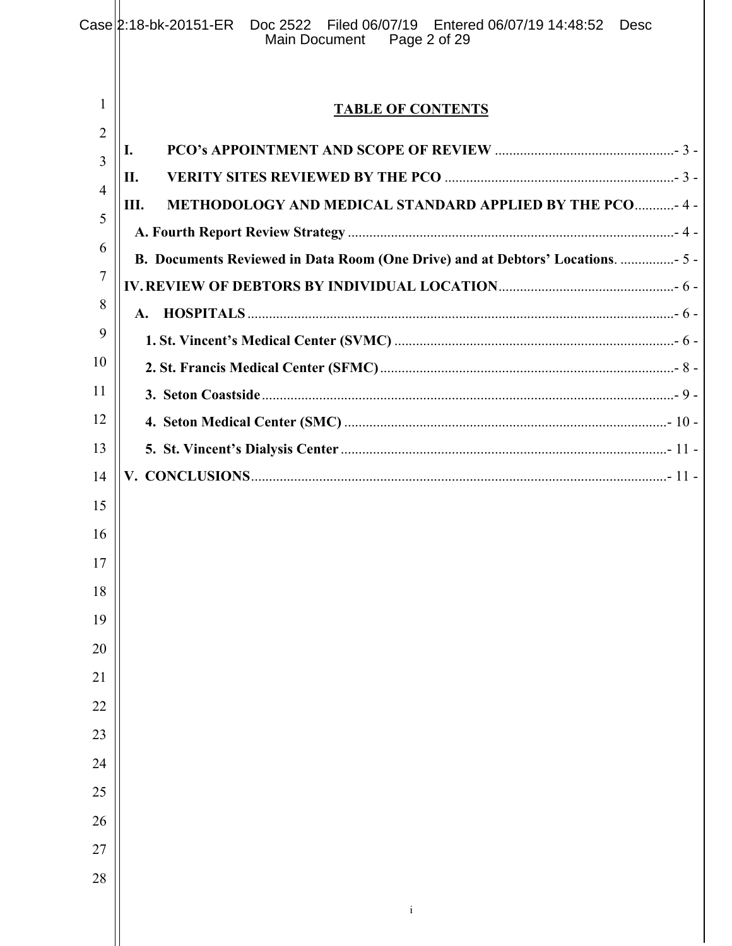|                     | $Case 2:18-bk-20151-ER$<br>Doc 2522 Filed 06/07/19 Entered 06/07/19 14:48:52<br>Desc<br>Page 2 of 29<br>Main Document |
|---------------------|-----------------------------------------------------------------------------------------------------------------------|
|                     |                                                                                                                       |
| 1                   | <b>TABLE OF CONTENTS</b>                                                                                              |
| $\overline{2}$<br>3 | I.                                                                                                                    |
| $\overline{4}$      | П.                                                                                                                    |
| 5                   | METHODOLOGY AND MEDICAL STANDARD APPLIED BY THE PCO - 4 -<br>Ш.                                                       |
| $\mathfrak b$       |                                                                                                                       |
| 7                   | B. Documents Reviewed in Data Room (One Drive) and at Debtors' Locations.  5 -                                        |
|                     |                                                                                                                       |
| 8                   | $\mathbf{A}$ .                                                                                                        |
| 9                   |                                                                                                                       |
| 10                  |                                                                                                                       |
| 11                  |                                                                                                                       |
| 12                  |                                                                                                                       |
| 13                  |                                                                                                                       |
| 14                  |                                                                                                                       |
| 15                  |                                                                                                                       |
| 16                  |                                                                                                                       |
| $17$                |                                                                                                                       |
| $18\,$              |                                                                                                                       |
| 19                  |                                                                                                                       |
| 20                  |                                                                                                                       |
| $21\,$              |                                                                                                                       |
| $22\,$              |                                                                                                                       |
| 23                  |                                                                                                                       |
| 24                  |                                                                                                                       |
| 25                  |                                                                                                                       |
| 26                  |                                                                                                                       |
| 27                  |                                                                                                                       |
| 28                  |                                                                                                                       |
|                     | $\rm i$                                                                                                               |
|                     |                                                                                                                       |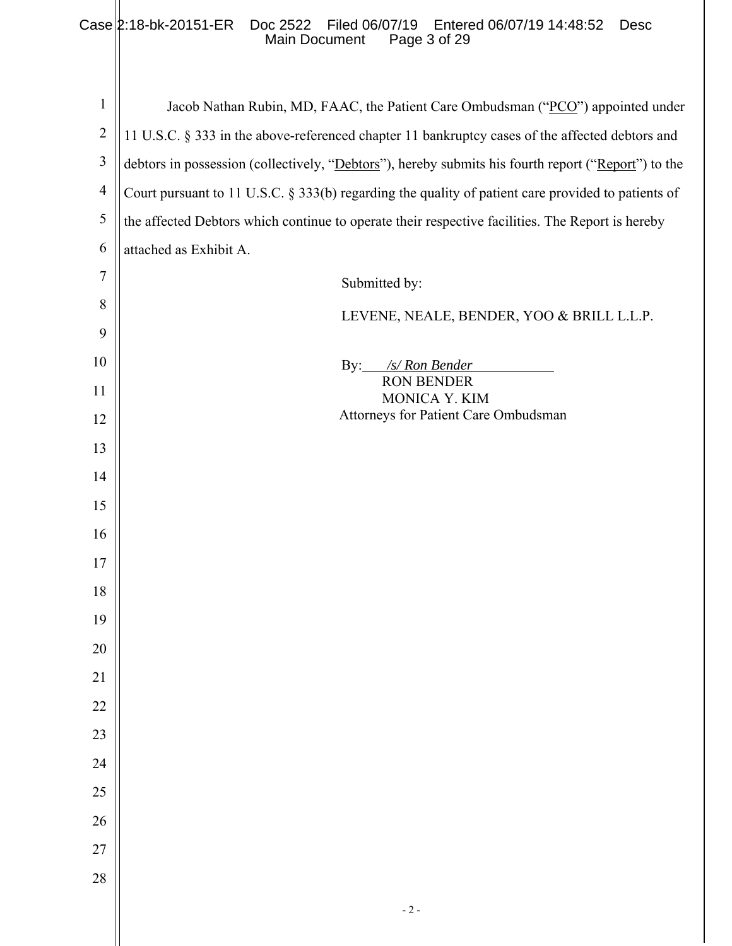#### Case 2:18-bk-20151-ER Doc 2522 Filed 06/07/19 Entered 06/07/19 14:48:52 Desc Main Document Page 3 of 29

| $\mathbf{1}$   | Jacob Nathan Rubin, MD, FAAC, the Patient Care Ombudsman ("PCO") appointed under                    |
|----------------|-----------------------------------------------------------------------------------------------------|
| $\overline{2}$ | 11 U.S.C. § 333 in the above-referenced chapter 11 bankruptcy cases of the affected debtors and     |
| $\mathfrak{Z}$ | debtors in possession (collectively, "Debtors"), hereby submits his fourth report ("Report") to the |
| $\overline{4}$ | Court pursuant to 11 U.S.C. § 333(b) regarding the quality of patient care provided to patients of  |
| $\mathfrak{S}$ | the affected Debtors which continue to operate their respective facilities. The Report is hereby    |
| 6              | attached as Exhibit A.                                                                              |
| 7              | Submitted by:                                                                                       |
| 8              | LEVENE, NEALE, BENDER, YOO & BRILL L.L.P.                                                           |
| 9              |                                                                                                     |
| 10             | By: $\frac{s}{\text{S}}$ Ron Bender                                                                 |
| 11             | <b>RON BENDER</b><br>MONICA Y. KIM                                                                  |
| 12             | Attorneys for Patient Care Ombudsman                                                                |
| 13             |                                                                                                     |
| 14             |                                                                                                     |
| 15             |                                                                                                     |
| 16             |                                                                                                     |
| 17             |                                                                                                     |
| 18             |                                                                                                     |
| 19             |                                                                                                     |
| 20             |                                                                                                     |
| 21             |                                                                                                     |
| $22\,$         |                                                                                                     |
| 23             |                                                                                                     |
| 24             |                                                                                                     |
| $25\,$         |                                                                                                     |
| 26             |                                                                                                     |
| $27\,$         |                                                                                                     |
| 28             |                                                                                                     |
|                | $-2-$                                                                                               |
|                |                                                                                                     |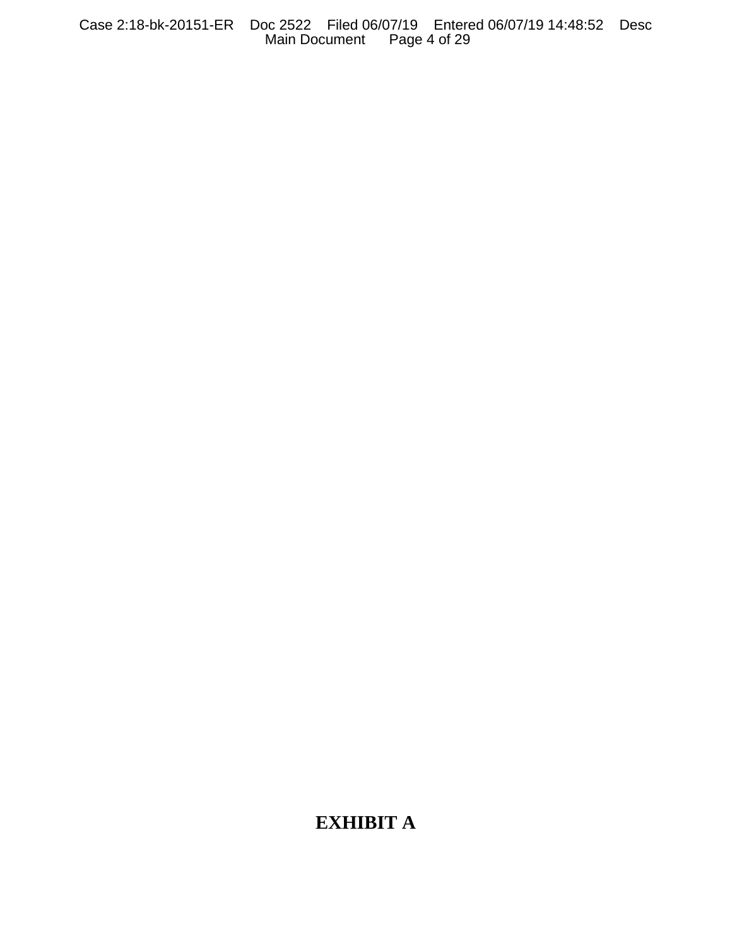Case 2:18-bk-20151-ER Doc 2522 Filed 06/07/19 Entered 06/07/19 14:48:52 Desc Main Document Page 4 of 29

# **EXHIBIT A**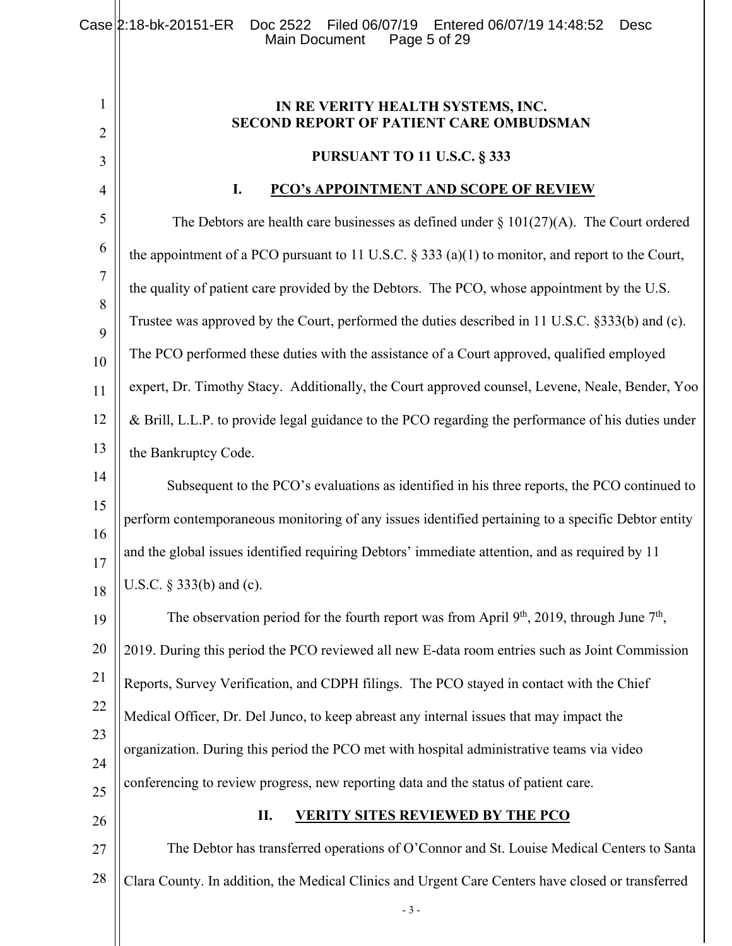**IN RE VERITY HEALTH SYSTEMS, INC. SECOND REPORT OF PATIENT CARE OMBUDSMAN** 

#### **PURSUANT TO 11 U.S.C. § 333**

#### **I. PCO's APPOINTMENT AND SCOPE OF REVIEW**

5 6 7 8 9 10 11 12 13 The Debtors are health care businesses as defined under  $\S 101(27)(A)$ . The Court ordered the appointment of a PCO pursuant to 11 U.S.C.  $\S 333$  (a)(1) to monitor, and report to the Court, the quality of patient care provided by the Debtors. The PCO, whose appointment by the U.S. Trustee was approved by the Court, performed the duties described in 11 U.S.C. §333(b) and (c). The PCO performed these duties with the assistance of a Court approved, qualified employed expert, Dr. Timothy Stacy. Additionally, the Court approved counsel, Levene, Neale, Bender, Yoo & Brill, L.L.P. to provide legal guidance to the PCO regarding the performance of his duties under the Bankruptcy Code.

14 15 16 17 18 Subsequent to the PCO's evaluations as identified in his three reports, the PCO continued to perform contemporaneous monitoring of any issues identified pertaining to a specific Debtor entity and the global issues identified requiring Debtors' immediate attention, and as required by 11 U.S.C. § 333(b) and (c).

19 20 21 22 23 24 25 The observation period for the fourth report was from April  $9<sup>th</sup>$ , 2019, through June  $7<sup>th</sup>$ , 2019. During this period the PCO reviewed all new E-data room entries such as Joint Commission Reports, Survey Verification, and CDPH filings. The PCO stayed in contact with the Chief Medical Officer, Dr. Del Junco, to keep abreast any internal issues that may impact the organization. During this period the PCO met with hospital administrative teams via video conferencing to review progress, new reporting data and the status of patient care.

26

1

2

3

4

#### **II. VERITY SITES REVIEWED BY THE PCO**

27 28 The Debtor has transferred operations of O'Connor and St. Louise Medical Centers to Santa Clara County. In addition, the Medical Clinics and Urgent Care Centers have closed or transferred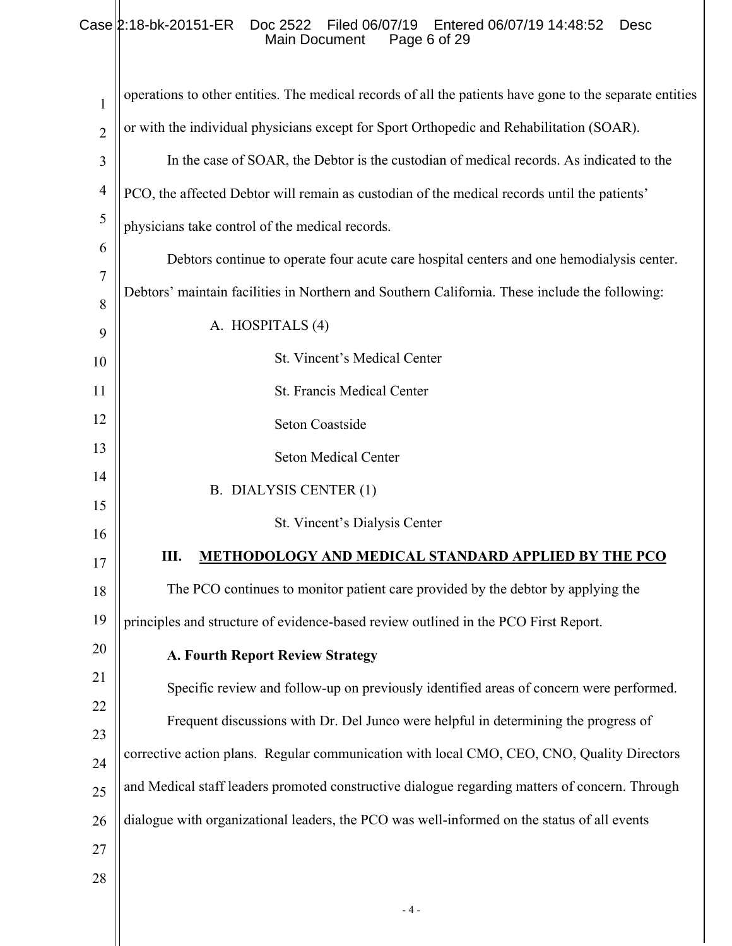# Case 2:18-bk-20151-ER Doc 2522 Filed 06/07/19 Entered 06/07/19 14:48:52 Desc Main Document Page 6 of 29

| 1              | operations to other entities. The medical records of all the patients have gone to the separate entities |
|----------------|----------------------------------------------------------------------------------------------------------|
| $\overline{2}$ | or with the individual physicians except for Sport Orthopedic and Rehabilitation (SOAR).                 |
| 3              | In the case of SOAR, the Debtor is the custodian of medical records. As indicated to the                 |
| $\overline{4}$ | PCO, the affected Debtor will remain as custodian of the medical records until the patients'             |
| 5              | physicians take control of the medical records.                                                          |
| 6              | Debtors continue to operate four acute care hospital centers and one hemodialysis center.                |
| $\overline{7}$ | Debtors' maintain facilities in Northern and Southern California. These include the following:           |
| 8<br>9         | A. HOSPITALS (4)                                                                                         |
| 10             | St. Vincent's Medical Center                                                                             |
| 11             | St. Francis Medical Center                                                                               |
| 12             | Seton Coastside                                                                                          |
| 13             | <b>Seton Medical Center</b>                                                                              |
| 14             | B. DIALYSIS CENTER (1)                                                                                   |
| 15             | St. Vincent's Dialysis Center                                                                            |
| 16             |                                                                                                          |
| 17             | Ш.<br>METHODOLOGY AND MEDICAL STANDARD APPLIED BY THE PCO                                                |
| 18             | The PCO continues to monitor patient care provided by the debtor by applying the                         |
| 19             | principles and structure of evidence-based review outlined in the PCO First Report.                      |
| 20             | A. Fourth Report Review Strategy                                                                         |
| 21             | Specific review and follow-up on previously identified areas of concern were performed.                  |
| 22             | Frequent discussions with Dr. Del Junco were helpful in determining the progress of                      |
| 23<br>24       | corrective action plans. Regular communication with local CMO, CEO, CNO, Quality Directors               |
| 25             | and Medical staff leaders promoted constructive dialogue regarding matters of concern. Through           |
| 26             | dialogue with organizational leaders, the PCO was well-informed on the status of all events              |
| 27             |                                                                                                          |
| 28             |                                                                                                          |
|                |                                                                                                          |

- 4 -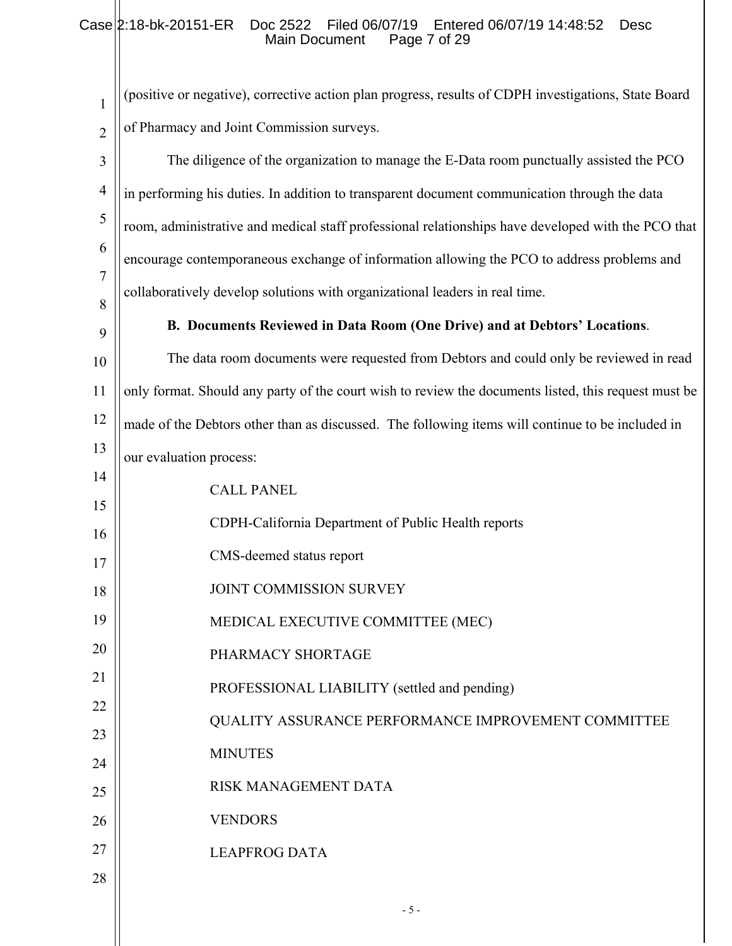# Case 2:18-bk-20151-ER Doc 2522 Filed 06/07/19 Entered 06/07/19 14:48:52 Desc Main Document Page 7 of 29

| 1              | (positive or negative), corrective action plan progress, results of CDPH investigations, State Board |
|----------------|------------------------------------------------------------------------------------------------------|
| $\overline{2}$ | of Pharmacy and Joint Commission surveys.                                                            |
| 3              | The diligence of the organization to manage the E-Data room punctually assisted the PCO              |
| $\overline{4}$ | in performing his duties. In addition to transparent document communication through the data         |
| 5              | room, administrative and medical staff professional relationships have developed with the PCO that   |
| 6              | encourage contemporaneous exchange of information allowing the PCO to address problems and           |
| 7<br>8         | collaboratively develop solutions with organizational leaders in real time.                          |
| 9              | B. Documents Reviewed in Data Room (One Drive) and at Debtors' Locations.                            |
| 10             | The data room documents were requested from Debtors and could only be reviewed in read               |
| 11             | only format. Should any party of the court wish to review the documents listed, this request must be |
| 12             | made of the Debtors other than as discussed. The following items will continue to be included in     |
| 13             | our evaluation process:                                                                              |
| 14             | <b>CALL PANEL</b>                                                                                    |
| 15             | CDPH-California Department of Public Health reports                                                  |
| 16<br>17       | CMS-deemed status report                                                                             |
| 18             | JOINT COMMISSION SURVEY                                                                              |
| 19             | MEDICAL EXECUTIVE COMMITTEE (MEC)                                                                    |
| 20             | PHARMACY SHORTAGE                                                                                    |
| 21             | PROFESSIONAL LIABILITY (settled and pending)                                                         |
| 22             | QUALITY ASSURANCE PERFORMANCE IMPROVEMENT COMMITTEE                                                  |
| 23             | <b>MINUTES</b>                                                                                       |
| 24             | <b>RISK MANAGEMENT DATA</b>                                                                          |
| 25<br>26       | <b>VENDORS</b>                                                                                       |
| 27             | <b>LEAPFROG DATA</b>                                                                                 |
| 28             |                                                                                                      |
|                | $-5-$                                                                                                |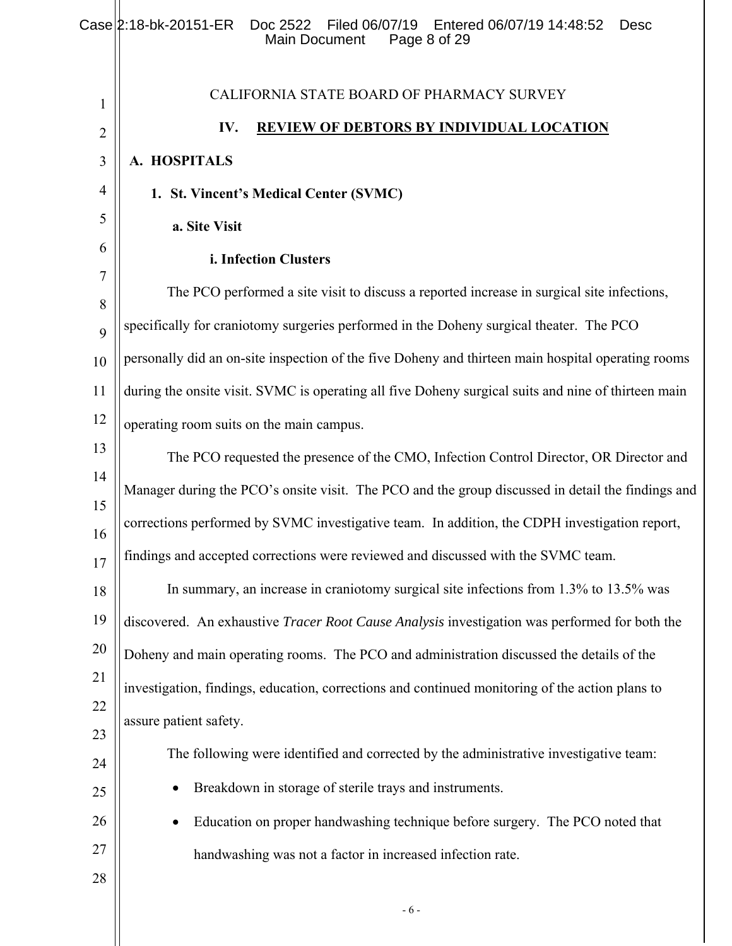|                | Case 2:18-bk-20151-ER<br>Doc 2522<br>Filed 06/07/19<br>Entered 06/07/19 14:48:52<br><b>Desc</b><br><b>Main Document</b><br>Page 8 of 29 |
|----------------|-----------------------------------------------------------------------------------------------------------------------------------------|
| 1              | CALIFORNIA STATE BOARD OF PHARMACY SURVEY                                                                                               |
| $\overline{2}$ | <b>REVIEW OF DEBTORS BY INDIVIDUAL LOCATION</b><br>IV.                                                                                  |
| $\mathfrak{Z}$ | A. HOSPITALS                                                                                                                            |
| $\overline{4}$ | 1. St. Vincent's Medical Center (SVMC)                                                                                                  |
| 5              | a. Site Visit                                                                                                                           |
| 6              | i. Infection Clusters                                                                                                                   |
| 7              | The PCO performed a site visit to discuss a reported increase in surgical site infections,                                              |
| 8<br>9         | specifically for craniotomy surgeries performed in the Doheny surgical theater. The PCO                                                 |
| 10             | personally did an on-site inspection of the five Doheny and thirteen main hospital operating rooms                                      |
| 11             | during the onsite visit. SVMC is operating all five Doheny surgical suits and nine of thirteen main                                     |
| 12             | operating room suits on the main campus.                                                                                                |
| 13             | The PCO requested the presence of the CMO, Infection Control Director, OR Director and                                                  |
| 14             | Manager during the PCO's onsite visit. The PCO and the group discussed in detail the findings and                                       |
| 15             | corrections performed by SVMC investigative team. In addition, the CDPH investigation report,                                           |
| 16<br>17       | findings and accepted corrections were reviewed and discussed with the SVMC team.                                                       |
| 18             | In summary, an increase in craniotomy surgical site infections from 1.3% to 13.5% was                                                   |
| 19             | discovered. An exhaustive Tracer Root Cause Analysis investigation was performed for both the                                           |
| 20             | Doheny and main operating rooms. The PCO and administration discussed the details of the                                                |
| 21             | investigation, findings, education, corrections and continued monitoring of the action plans to                                         |
| 22             | assure patient safety.                                                                                                                  |
| 23<br>24       | The following were identified and corrected by the administrative investigative team:                                                   |
| 25             | Breakdown in storage of sterile trays and instruments.                                                                                  |
| 26             | Education on proper handwashing technique before surgery. The PCO noted that<br>٠                                                       |
| 27             | handwashing was not a factor in increased infection rate.                                                                               |
| 28             |                                                                                                                                         |
|                | $-6-$                                                                                                                                   |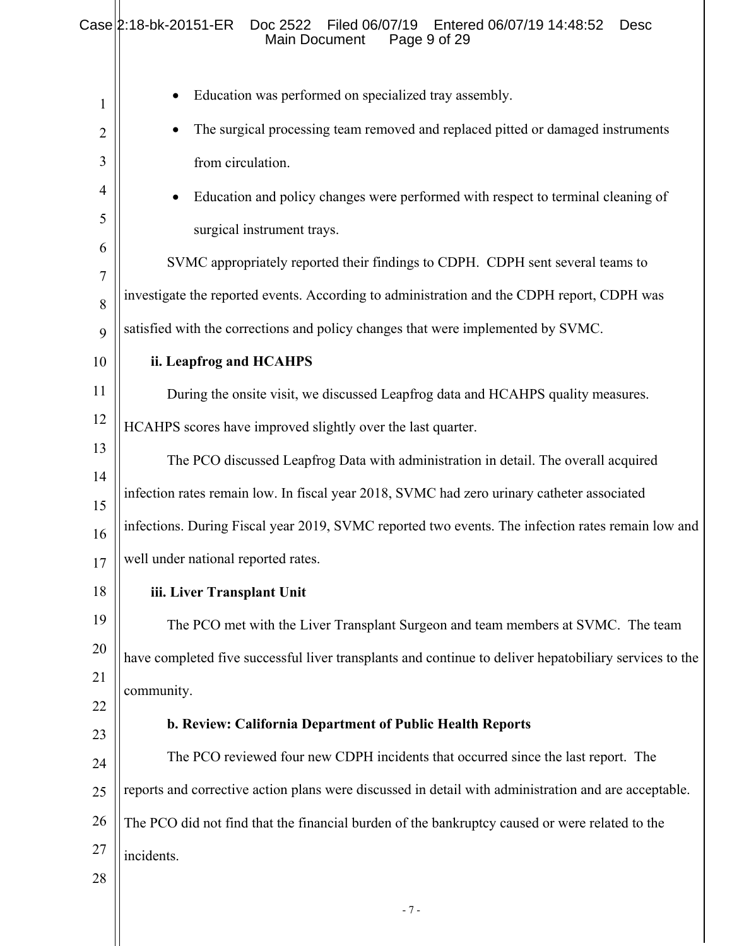|             | $Case  2:18-bk-20151-ER$<br>Doc 2522<br>Filed 06/07/19<br>Entered 06/07/19 14:48:52<br><b>Desc</b><br>Main Document<br>Page 9 of 29 |
|-------------|-------------------------------------------------------------------------------------------------------------------------------------|
| $\mathbf 1$ | Education was performed on specialized tray assembly.                                                                               |
| 2           | The surgical processing team removed and replaced pitted or damaged instruments                                                     |
| 3           | from circulation.                                                                                                                   |
| 4           | Education and policy changes were performed with respect to terminal cleaning of                                                    |
| 5           | surgical instrument trays.                                                                                                          |
| 6           | SVMC appropriately reported their findings to CDPH. CDPH sent several teams to                                                      |
| 7<br>8      | investigate the reported events. According to administration and the CDPH report, CDPH was                                          |
| 9           | satisfied with the corrections and policy changes that were implemented by SVMC.                                                    |
| 10          | ii. Leapfrog and HCAHPS                                                                                                             |
| 11          | During the onsite visit, we discussed Leapfrog data and HCAHPS quality measures.                                                    |
| 12          | HCAHPS scores have improved slightly over the last quarter.                                                                         |
| 13          | The PCO discussed Leapfrog Data with administration in detail. The overall acquired                                                 |
| 14<br>15    | infection rates remain low. In fiscal year 2018, SVMC had zero urinary catheter associated                                          |
| 16          | infections. During Fiscal year 2019, SVMC reported two events. The infection rates remain low and                                   |
| 17          | well under national reported rates.                                                                                                 |
| 18          | iii. Liver Transplant Unit                                                                                                          |
| 19          | The PCO met with the Liver Transplant Surgeon and team members at SVMC. The team                                                    |
| 20          | have completed five successful liver transplants and continue to deliver hepatobiliary services to the                              |
| 21<br>22    | community.                                                                                                                          |
| 23          | b. Review: California Department of Public Health Reports                                                                           |
| 24          | The PCO reviewed four new CDPH incidents that occurred since the last report. The                                                   |
| 25          | reports and corrective action plans were discussed in detail with administration and are acceptable.                                |
| 26          | The PCO did not find that the financial burden of the bankruptcy caused or were related to the                                      |
| 27          | incidents.                                                                                                                          |
| 28          |                                                                                                                                     |
|             | $-7-$                                                                                                                               |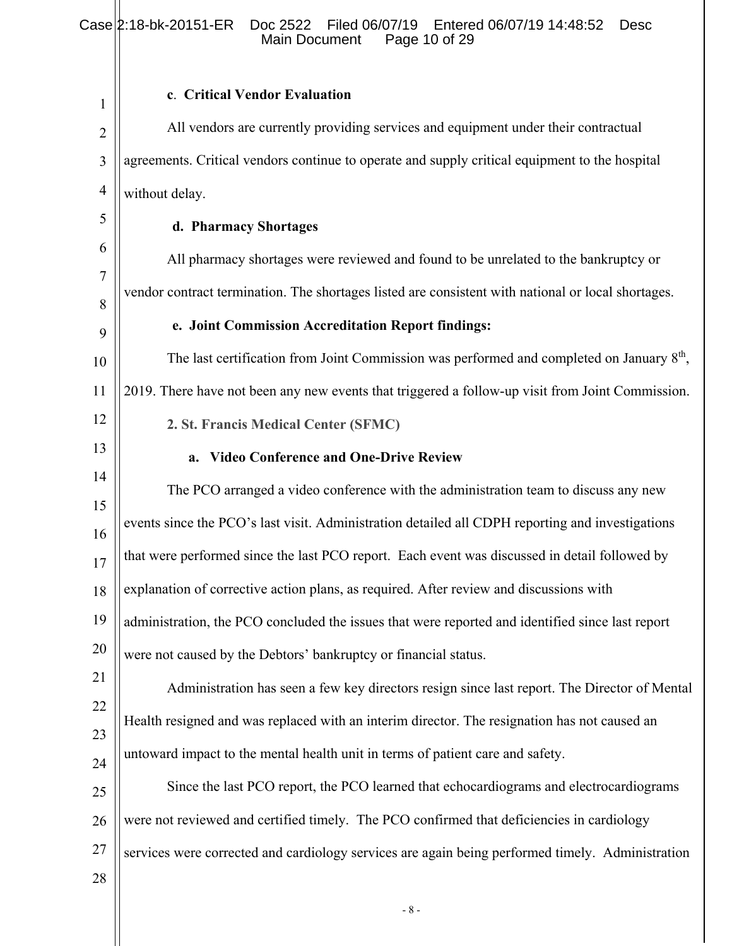#### 1 2 3 4 5 6 7 8 9 10 11 12 13 14 15 16 17 18 19 20 21 22 23 24 25 26 27 28 **c**. **Critical Vendor Evaluation**  All vendors are currently providing services and equipment under their contractual agreements. Critical vendors continue to operate and supply critical equipment to the hospital without delay. **d. Pharmacy Shortages**  All pharmacy shortages were reviewed and found to be unrelated to the bankruptcy or vendor contract termination. The shortages listed are consistent with national or local shortages. **e. Joint Commission Accreditation Report findings:**  The last certification from Joint Commission was performed and completed on January  $8<sup>th</sup>$ , 2019. There have not been any new events that triggered a follow-up visit from Joint Commission. **2. St. Francis Medical Center (SFMC) a. Video Conference and One-Drive Review**  The PCO arranged a video conference with the administration team to discuss any new events since the PCO's last visit. Administration detailed all CDPH reporting and investigations that were performed since the last PCO report. Each event was discussed in detail followed by explanation of corrective action plans, as required. After review and discussions with administration, the PCO concluded the issues that were reported and identified since last report were not caused by the Debtors' bankruptcy or financial status. Administration has seen a few key directors resign since last report. The Director of Mental Health resigned and was replaced with an interim director. The resignation has not caused an untoward impact to the mental health unit in terms of patient care and safety. Since the last PCO report, the PCO learned that echocardiograms and electrocardiograms were not reviewed and certified timely. The PCO confirmed that deficiencies in cardiology services were corrected and cardiology services are again being performed timely. Administration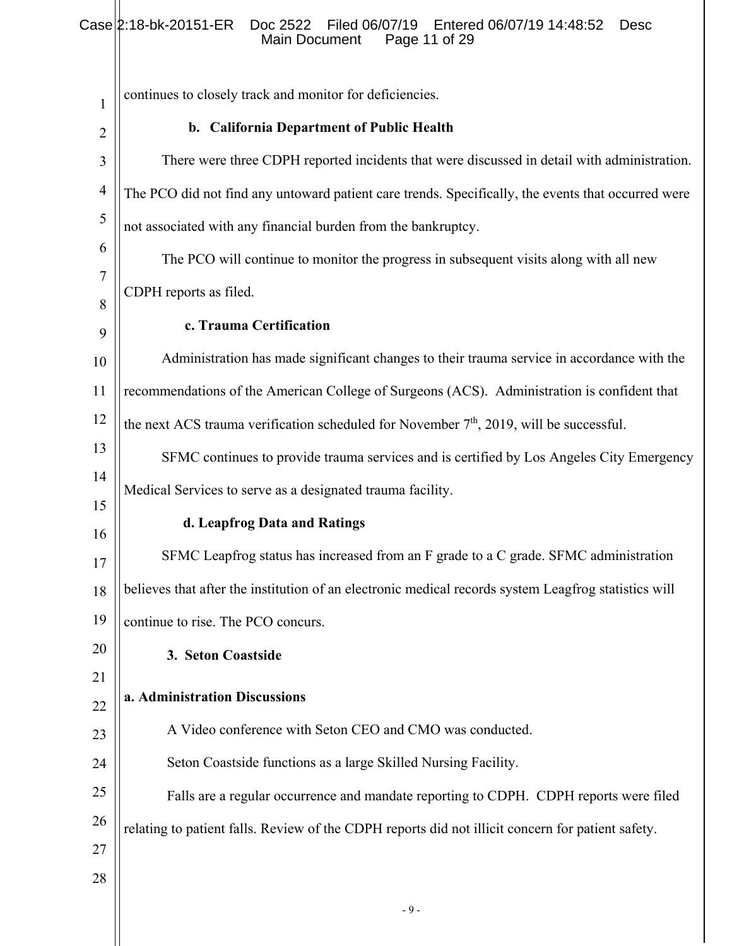# Case 2:18-bk-20151-ER Doc 2522 Filed 06/07/19 Entered 06/07/19 14:48:52 Desc Main Document Page 11 of 29

L

| $\mathbf{1}$   | continues to closely track and monitor for deficiencies.                                             |
|----------------|------------------------------------------------------------------------------------------------------|
| $\overline{2}$ | b. California Department of Public Health                                                            |
| 3              | There were three CDPH reported incidents that were discussed in detail with administration.          |
| $\overline{4}$ | The PCO did not find any untoward patient care trends. Specifically, the events that occurred were   |
| 5              | not associated with any financial burden from the bankruptcy.                                        |
| 6              | The PCO will continue to monitor the progress in subsequent visits along with all new                |
| $\tau$         | CDPH reports as filed.                                                                               |
| 8<br>9         | c. Trauma Certification                                                                              |
| 10             | Administration has made significant changes to their trauma service in accordance with the           |
| 11             | recommendations of the American College of Surgeons (ACS). Administration is confident that          |
| 12             | the next ACS trauma verification scheduled for November $7th$ , 2019, will be successful.            |
| 13             | SFMC continues to provide trauma services and is certified by Los Angeles City Emergency             |
| 14             | Medical Services to serve as a designated trauma facility.                                           |
| 15             | d. Leapfrog Data and Ratings                                                                         |
| 16<br>17       | SFMC Leapfrog status has increased from an F grade to a C grade. SFMC administration                 |
| 18             | believes that after the institution of an electronic medical records system Leagfrog statistics will |
| 19             | continue to rise. The PCO concurs.                                                                   |
| 20             | 3. Seton Coastside                                                                                   |
| 21             |                                                                                                      |
| 22             | a. Administration Discussions                                                                        |
| 23             | A Video conference with Seton CEO and CMO was conducted.                                             |
| 24             | Seton Coastside functions as a large Skilled Nursing Facility.                                       |
| 25             | Falls are a regular occurrence and mandate reporting to CDPH. CDPH reports were filed                |
| 26             | relating to patient falls. Review of the CDPH reports did not illicit concern for patient safety.    |
| 27             |                                                                                                      |
| 28             |                                                                                                      |
|                | $-9-$                                                                                                |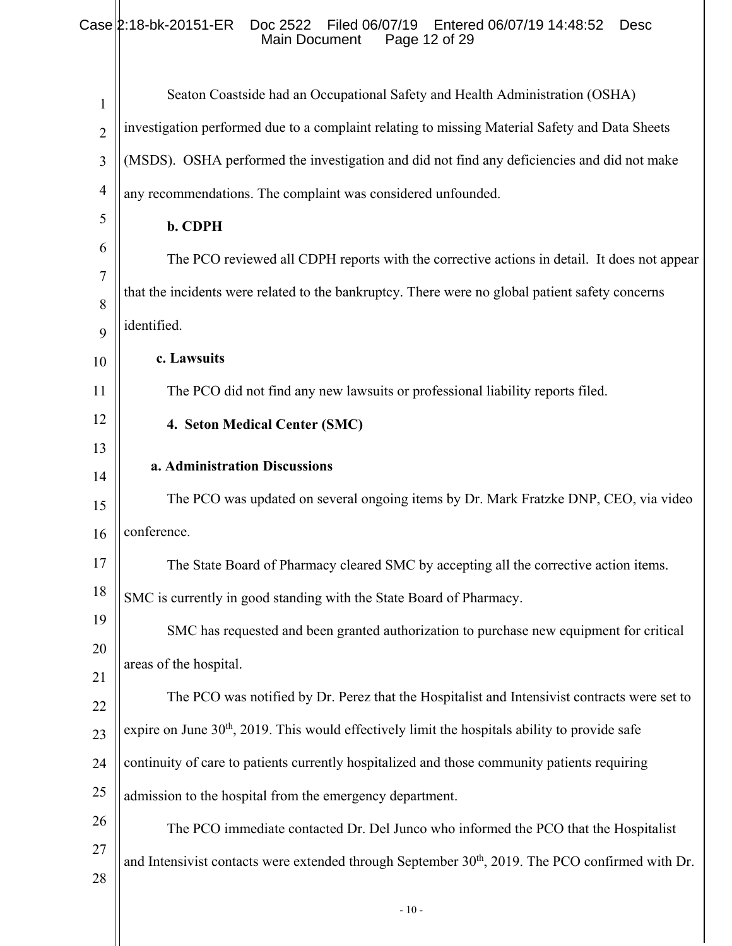# Case 2:18-bk-20151-ER Doc 2522 Filed 06/07/19 Entered 06/07/19 14:48:52 Desc Main Document Page 12 of 29

| $\mathbf{1}$   | Seaton Coastside had an Occupational Safety and Health Administration (OSHA)                                 |
|----------------|--------------------------------------------------------------------------------------------------------------|
| $\overline{2}$ | investigation performed due to a complaint relating to missing Material Safety and Data Sheets               |
| 3              | (MSDS). OSHA performed the investigation and did not find any deficiencies and did not make                  |
| $\overline{4}$ | any recommendations. The complaint was considered unfounded.                                                 |
| 5              | b. CDPH                                                                                                      |
| 6              | The PCO reviewed all CDPH reports with the corrective actions in detail. It does not appear                  |
| $\overline{7}$ | that the incidents were related to the bankruptcy. There were no global patient safety concerns              |
| 8              | identified.                                                                                                  |
| 9              | c. Lawsuits                                                                                                  |
| 10<br>11       | The PCO did not find any new lawsuits or professional liability reports filed.                               |
| 12             |                                                                                                              |
| 13             | 4. Seton Medical Center (SMC)                                                                                |
| 14             | a. Administration Discussions                                                                                |
| 15             | The PCO was updated on several ongoing items by Dr. Mark Fratzke DNP, CEO, via video                         |
| 16             | conference.                                                                                                  |
| 17             | The State Board of Pharmacy cleared SMC by accepting all the corrective action items.                        |
| 18             | SMC is currently in good standing with the State Board of Pharmacy.                                          |
| 19             | SMC has requested and been granted authorization to purchase new equipment for critical                      |
| 20             | areas of the hospital.                                                                                       |
| 21             | The PCO was notified by Dr. Perez that the Hospitalist and Intensivist contracts were set to                 |
| 22             | expire on June $30th$ , 2019. This would effectively limit the hospitals ability to provide safe             |
| 23             |                                                                                                              |
| 24<br>25       | continuity of care to patients currently hospitalized and those community patients requiring                 |
| 26             | admission to the hospital from the emergency department.                                                     |
| 27             | The PCO immediate contacted Dr. Del Junco who informed the PCO that the Hospitalist                          |
| 28             | and Intensivist contacts were extended through September 30 <sup>th</sup> , 2019. The PCO confirmed with Dr. |
|                |                                                                                                              |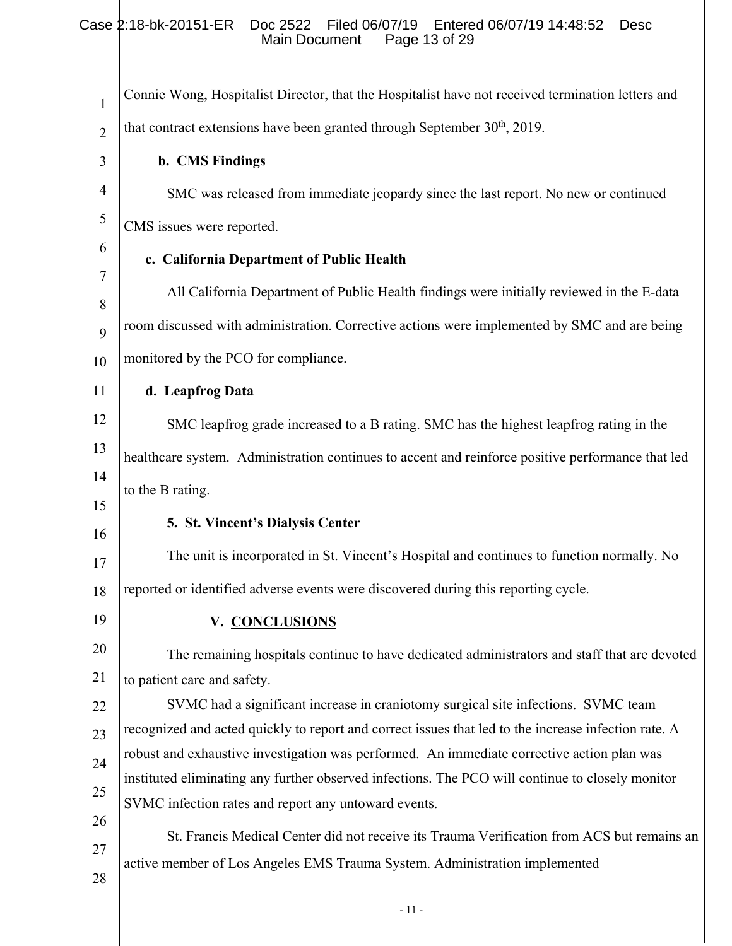| 1              | Connie Wong, Hospitalist Director, that the Hospitalist have not received termination letters and                                                                                         |
|----------------|-------------------------------------------------------------------------------------------------------------------------------------------------------------------------------------------|
| $\overline{2}$ | that contract extensions have been granted through September 30 <sup>th</sup> , 2019.                                                                                                     |
| 3              | b. CMS Findings                                                                                                                                                                           |
| $\overline{4}$ | SMC was released from immediate jeopardy since the last report. No new or continued                                                                                                       |
| $\mathfrak{S}$ | CMS issues were reported.                                                                                                                                                                 |
| 6              | c. California Department of Public Health                                                                                                                                                 |
| 7              | All California Department of Public Health findings were initially reviewed in the E-data                                                                                                 |
| 8              | room discussed with administration. Corrective actions were implemented by SMC and are being                                                                                              |
| 9              |                                                                                                                                                                                           |
| 10             | monitored by the PCO for compliance.                                                                                                                                                      |
| 11             | d. Leapfrog Data                                                                                                                                                                          |
| 12             | SMC leapfrog grade increased to a B rating. SMC has the highest leapfrog rating in the                                                                                                    |
| 13             | healthcare system. Administration continues to accent and reinforce positive performance that led                                                                                         |
| 14             | to the B rating.                                                                                                                                                                          |
| 15             | 5. St. Vincent's Dialysis Center                                                                                                                                                          |
| 16<br>17       | The unit is incorporated in St. Vincent's Hospital and continues to function normally. No                                                                                                 |
| 18             | reported or identified adverse events were discovered during this reporting cycle.                                                                                                        |
| 19             | V. CONCLUSIONS                                                                                                                                                                            |
| 20             |                                                                                                                                                                                           |
|                | The remaining hospitals continue to have dedicated administrators and staff that are devoted                                                                                              |
| 21             | to patient care and safety.                                                                                                                                                               |
| 22             | SVMC had a significant increase in craniotomy surgical site infections. SVMC team<br>recognized and acted quickly to report and correct issues that led to the increase infection rate. A |
| 23             | robust and exhaustive investigation was performed. An immediate corrective action plan was                                                                                                |
| 24             | instituted eliminating any further observed infections. The PCO will continue to closely monitor                                                                                          |
| 25             | SVMC infection rates and report any untoward events.                                                                                                                                      |
| 26             |                                                                                                                                                                                           |
| 27             | St. Francis Medical Center did not receive its Trauma Verification from ACS but remains an                                                                                                |
| 28             | active member of Los Angeles EMS Trauma System. Administration implemented                                                                                                                |
|                |                                                                                                                                                                                           |

- 11 -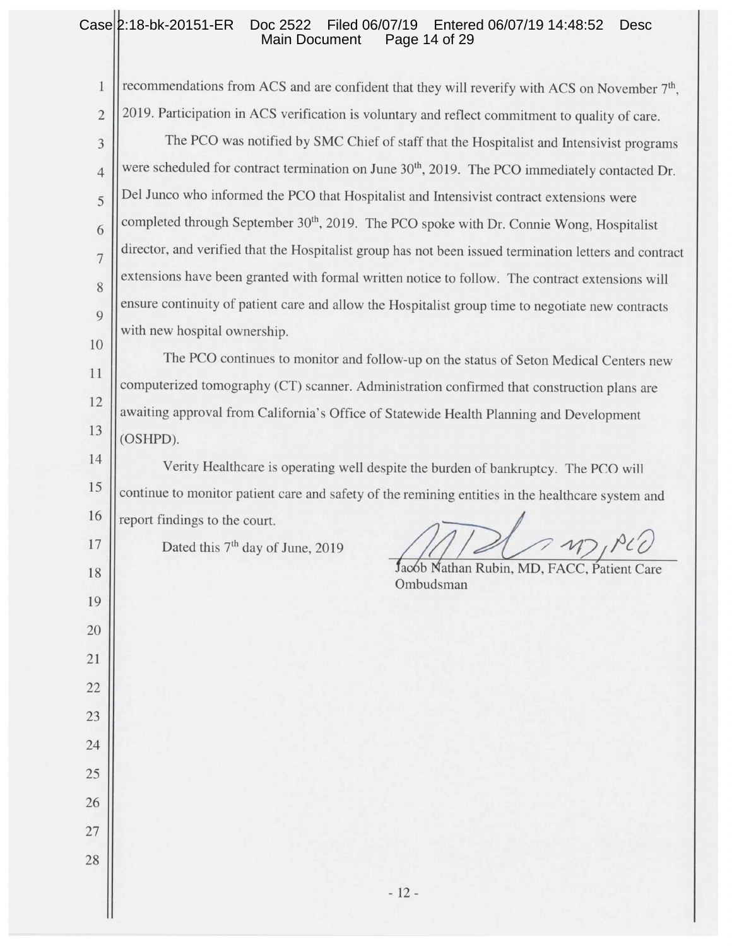#### Case 2:18-bk-20151-ER Doc 2522 Filed 06/07/19 Entered 06/07/19 14:48:52 Desc Main Document Page 14 of 29

 $\mathbf{1}$ recommendations from ACS and are confident that they will reverify with ACS on November 7<sup>th</sup>. 2019. Participation in ACS verification is voluntary and reflect commitment to quality of care.  $\overline{2}$ The PCO was notified by SMC Chief of staff that the Hospitalist and Intensivist programs 3 were scheduled for contract termination on June 30<sup>th</sup>, 2019. The PCO immediately contacted Dr.  $\overline{4}$ Del Junco who informed the PCO that Hospitalist and Intensivist contract extensions were 5 completed through September 30<sup>th</sup>, 2019. The PCO spoke with Dr. Connie Wong, Hospitalist 6 director, and verified that the Hospitalist group has not been issued termination letters and contract  $\overline{7}$ extensions have been granted with formal written notice to follow. The contract extensions will 8 ensure continuity of patient care and allow the Hospitalist group time to negotiate new contracts  $\overline{9}$ with new hospital ownership. 10

The PCO continues to monitor and follow-up on the status of Seton Medical Centers new computerized tomography (CT) scanner. Administration confirmed that construction plans are awaiting approval from California's Office of Statewide Health Planning and Development (OSHPD).

Verity Healthcare is operating well despite the burden of bankruptcy. The PCO will continue to monitor patient care and safety of the remining entities in the healthcare system and

report findings to the court.

11

12

13

14

15

16

17

18

19

20

21

22

23

24

25

26

27

28

Dated this 7<sup>th</sup> day of June, 2019

 $17.$   $P22$ 

Jacob Nathan Rubin, MD, FACC, Patient Care Ombudsman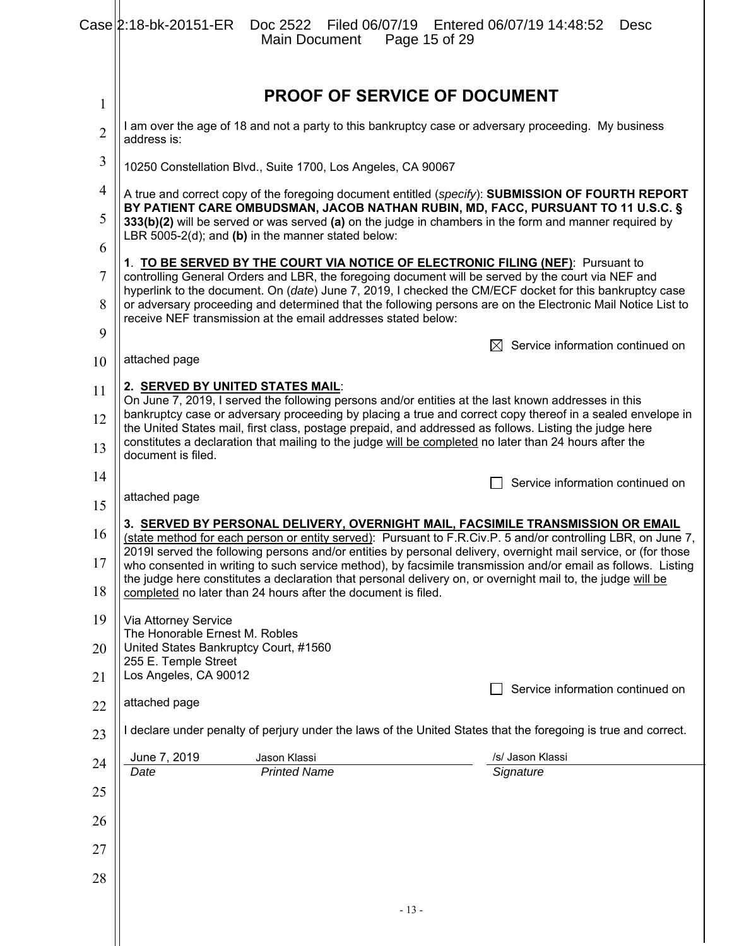|                | Case 2:18-bk-20151-ER<br>Main Document                                                                                                                                                                                                 | Doc 2522   Filed 06/07/19   Entered 06/07/19   14:48:52<br><b>Desc</b><br>Page 15 of 29                                                                                                                                                                                                                           |  |
|----------------|----------------------------------------------------------------------------------------------------------------------------------------------------------------------------------------------------------------------------------------|-------------------------------------------------------------------------------------------------------------------------------------------------------------------------------------------------------------------------------------------------------------------------------------------------------------------|--|
| $\mathbf{1}$   |                                                                                                                                                                                                                                        | <b>PROOF OF SERVICE OF DOCUMENT</b>                                                                                                                                                                                                                                                                               |  |
| $\overline{2}$ | I am over the age of 18 and not a party to this bankruptcy case or adversary proceeding. My business<br>address is:                                                                                                                    |                                                                                                                                                                                                                                                                                                                   |  |
| 3              | 10250 Constellation Blvd., Suite 1700, Los Angeles, CA 90067                                                                                                                                                                           |                                                                                                                                                                                                                                                                                                                   |  |
| $\overline{4}$ |                                                                                                                                                                                                                                        | A true and correct copy of the foregoing document entitled (specify): SUBMISSION OF FOURTH REPORT                                                                                                                                                                                                                 |  |
| 5              | 333(b)(2) will be served or was served (a) on the judge in chambers in the form and manner required by<br>LBR 5005-2(d); and (b) in the manner stated below:                                                                           | BY PATIENT CARE OMBUDSMAN, JACOB NATHAN RUBIN, MD, FACC, PURSUANT TO 11 U.S.C. §                                                                                                                                                                                                                                  |  |
| 6              | 1. TO BE SERVED BY THE COURT VIA NOTICE OF ELECTRONIC FILING (NEF): Pursuant to                                                                                                                                                        |                                                                                                                                                                                                                                                                                                                   |  |
| 7<br>8         | controlling General Orders and LBR, the foregoing document will be served by the court via NEF and                                                                                                                                     | hyperlink to the document. On (date) June 7, 2019, I checked the CM/ECF docket for this bankruptcy case<br>or adversary proceeding and determined that the following persons are on the Electronic Mail Notice List to                                                                                            |  |
| 9              | receive NEF transmission at the email addresses stated below:                                                                                                                                                                          |                                                                                                                                                                                                                                                                                                                   |  |
| 10             | attached page                                                                                                                                                                                                                          | Service information continued on                                                                                                                                                                                                                                                                                  |  |
| 11             | 2. SERVED BY UNITED STATES MAIL:                                                                                                                                                                                                       |                                                                                                                                                                                                                                                                                                                   |  |
| 12             | On June 7, 2019, I served the following persons and/or entities at the last known addresses in this                                                                                                                                    | bankruptcy case or adversary proceeding by placing a true and correct copy thereof in a sealed envelope in                                                                                                                                                                                                        |  |
| 13             | the United States mail, first class, postage prepaid, and addressed as follows. Listing the judge here<br>constitutes a declaration that mailing to the judge will be completed no later than 24 hours after the<br>document is filed. |                                                                                                                                                                                                                                                                                                                   |  |
| 14             |                                                                                                                                                                                                                                        | Service information continued on                                                                                                                                                                                                                                                                                  |  |
| 15             | attached page                                                                                                                                                                                                                          |                                                                                                                                                                                                                                                                                                                   |  |
| 16             |                                                                                                                                                                                                                                        | 3. SERVED BY PERSONAL DELIVERY, OVERNIGHT MAIL, FACSIMILE TRANSMISSION OR EMAIL<br>(state method for each person or entity served): Pursuant to F.R.Civ.P. 5 and/or controlling LBR, on June 7,<br>2019I served the following persons and/or entities by personal delivery, overnight mail service, or (for those |  |
| 17<br>18       | the judge here constitutes a declaration that personal delivery on, or overnight mail to, the judge will be<br>completed no later than 24 hours after the document is filed.                                                           | who consented in writing to such service method), by facsimile transmission and/or email as follows. Listing                                                                                                                                                                                                      |  |
| 19             | Via Attorney Service                                                                                                                                                                                                                   |                                                                                                                                                                                                                                                                                                                   |  |
| 20             | The Honorable Ernest M. Robles<br>United States Bankruptcy Court, #1560                                                                                                                                                                |                                                                                                                                                                                                                                                                                                                   |  |
|                |                                                                                                                                                                                                                                        |                                                                                                                                                                                                                                                                                                                   |  |
| 21             | 255 E. Temple Street<br>Los Angeles, CA 90012                                                                                                                                                                                          |                                                                                                                                                                                                                                                                                                                   |  |
| 22             | attached page                                                                                                                                                                                                                          | Service information continued on                                                                                                                                                                                                                                                                                  |  |
| 23             |                                                                                                                                                                                                                                        | I declare under penalty of perjury under the laws of the United States that the foregoing is true and correct.                                                                                                                                                                                                    |  |
| 24             | June 7, 2019<br>Jason Klassi                                                                                                                                                                                                           | /s/ Jason Klassi                                                                                                                                                                                                                                                                                                  |  |
| 25             | <b>Printed Name</b><br>Date                                                                                                                                                                                                            | Signature                                                                                                                                                                                                                                                                                                         |  |
| 26             |                                                                                                                                                                                                                                        |                                                                                                                                                                                                                                                                                                                   |  |
| 27             |                                                                                                                                                                                                                                        |                                                                                                                                                                                                                                                                                                                   |  |
| 28             |                                                                                                                                                                                                                                        |                                                                                                                                                                                                                                                                                                                   |  |
|                |                                                                                                                                                                                                                                        | $-13-$                                                                                                                                                                                                                                                                                                            |  |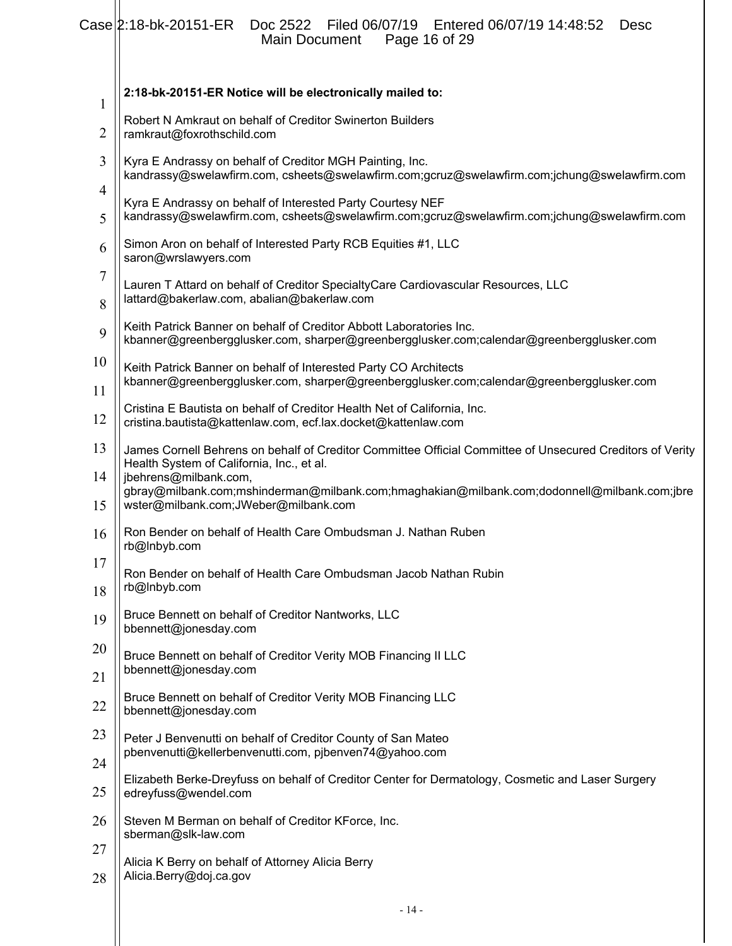|                | $Case 2.18-bk-20151-ER$<br>Doc 2522   Filed 06/07/19   Entered 06/07/19   14:48:52<br><b>Desc</b><br>Page 16 of 29<br>Main Document                                                                                                                                                                                    |
|----------------|------------------------------------------------------------------------------------------------------------------------------------------------------------------------------------------------------------------------------------------------------------------------------------------------------------------------|
| $\mathbf{1}$   | 2:18-bk-20151-ER Notice will be electronically mailed to:                                                                                                                                                                                                                                                              |
| 2              | Robert N Amkraut on behalf of Creditor Swinerton Builders<br>ramkraut@foxrothschild.com                                                                                                                                                                                                                                |
| 3              | Kyra E Andrassy on behalf of Creditor MGH Painting, Inc.<br>kandrassy@swelawfirm.com, csheets@swelawfirm.com;gcruz@swelawfirm.com;jchung@swelawfirm.com                                                                                                                                                                |
| 4<br>5         | Kyra E Andrassy on behalf of Interested Party Courtesy NEF<br>kandrassy@swelawfirm.com, csheets@swelawfirm.com;gcruz@swelawfirm.com;jchung@swelawfirm.com                                                                                                                                                              |
| 6              | Simon Aron on behalf of Interested Party RCB Equities #1, LLC<br>saron@wrslawyers.com                                                                                                                                                                                                                                  |
| 7<br>8         | Lauren T Attard on behalf of Creditor SpecialtyCare Cardiovascular Resources, LLC<br>lattard@bakerlaw.com, abalian@bakerlaw.com                                                                                                                                                                                        |
| 9              | Keith Patrick Banner on behalf of Creditor Abbott Laboratories Inc.<br>kbanner@greenbergglusker.com, sharper@greenbergglusker.com;calendar@greenbergglusker.com                                                                                                                                                        |
| 10<br>11       | Keith Patrick Banner on behalf of Interested Party CO Architects<br>kbanner@greenbergglusker.com, sharper@greenbergglusker.com;calendar@greenbergglusker.com                                                                                                                                                           |
| 12             | Cristina E Bautista on behalf of Creditor Health Net of California, Inc.<br>cristina.bautista@kattenlaw.com, ecf.lax.docket@kattenlaw.com                                                                                                                                                                              |
| 13<br>14<br>15 | James Cornell Behrens on behalf of Creditor Committee Official Committee of Unsecured Creditors of Verity<br>Health System of California, Inc., et al.<br>jbehrens@milbank.com,<br>gbray@milbank.com;mshinderman@milbank.com;hmaghakian@milbank.com;dodonnell@milbank.com;jbre<br>wster@milbank.com;JWeber@milbank.com |
| 16             | Ron Bender on behalf of Health Care Ombudsman J. Nathan Ruben<br>rb@Inbyb.com                                                                                                                                                                                                                                          |
| 17<br>18       | Ron Bender on behalf of Health Care Ombudsman Jacob Nathan Rubin<br>rb@Inbyb.com                                                                                                                                                                                                                                       |
| 19             | Bruce Bennett on behalf of Creditor Nantworks, LLC<br>bbennett@jonesday.com                                                                                                                                                                                                                                            |
| 20             | Bruce Bennett on behalf of Creditor Verity MOB Financing II LLC<br>bbennett@jonesday.com                                                                                                                                                                                                                               |
| 21<br>22       | Bruce Bennett on behalf of Creditor Verity MOB Financing LLC<br>bbennett@jonesday.com                                                                                                                                                                                                                                  |
| 23             | Peter J Benvenutti on behalf of Creditor County of San Mateo<br>pbenvenutti@kellerbenvenutti.com, pjbenven74@yahoo.com                                                                                                                                                                                                 |
| 24<br>25       | Elizabeth Berke-Dreyfuss on behalf of Creditor Center for Dermatology, Cosmetic and Laser Surgery<br>edreyfuss@wendel.com                                                                                                                                                                                              |
| 26             | Steven M Berman on behalf of Creditor KForce, Inc.<br>sberman@slk-law.com                                                                                                                                                                                                                                              |
| 27<br>28       | Alicia K Berry on behalf of Attorney Alicia Berry<br>Alicia.Berry@doj.ca.gov                                                                                                                                                                                                                                           |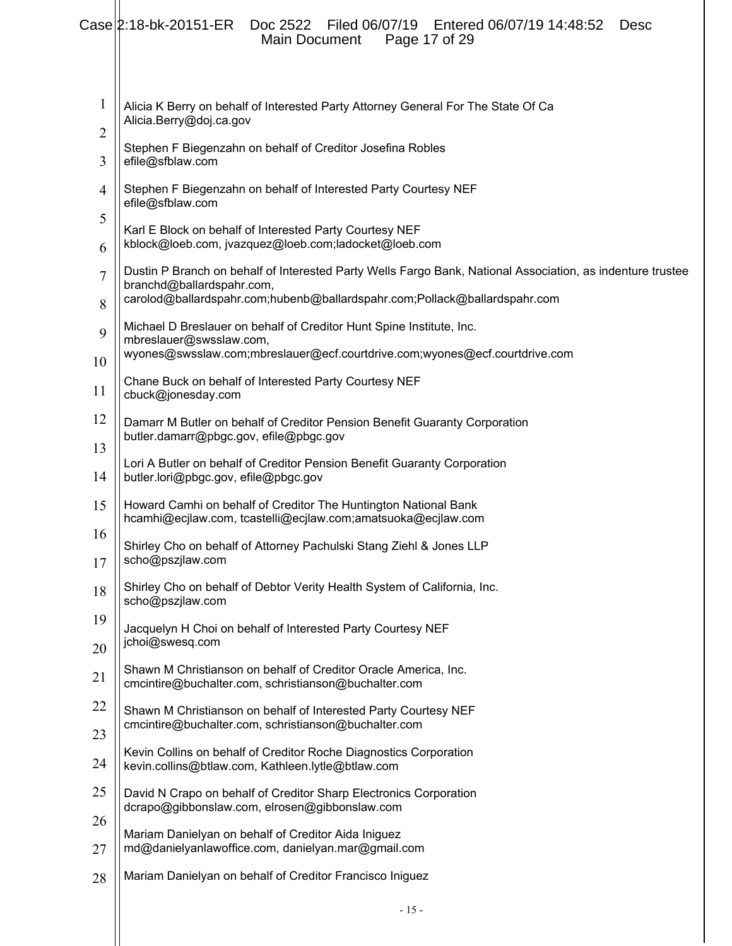|                | Case 2:18-bk-20151-ER<br>Doc 2522 Filed 06/07/19 Entered 06/07/19 14:48:52<br>Desc<br><b>Main Document</b><br>Page 17 of 29     |
|----------------|---------------------------------------------------------------------------------------------------------------------------------|
| $\mathbf{1}$   | Alicia K Berry on behalf of Interested Party Attorney General For The State Of Ca<br>Alicia.Berry@doj.ca.gov                    |
| 2<br>3         | Stephen F Biegenzahn on behalf of Creditor Josefina Robles<br>efile@sfblaw.com                                                  |
| $\overline{4}$ | Stephen F Biegenzahn on behalf of Interested Party Courtesy NEF<br>efile@sfblaw.com                                             |
| 5<br>6         | Karl E Block on behalf of Interested Party Courtesy NEF<br>kblock@loeb.com, jvazquez@loeb.com;ladocket@loeb.com                 |
|                | Dustin P Branch on behalf of Interested Party Wells Fargo Bank, National Association, as indenture trustee                      |
| 7<br>8         | branchd@ballardspahr.com,<br>carolod@ballardspahr.com;hubenb@ballardspahr.com;Pollack@ballardspahr.com                          |
| 9              | Michael D Breslauer on behalf of Creditor Hunt Spine Institute, Inc.<br>mbreslauer@swsslaw.com,                                 |
| 10             | wyones@swsslaw.com;mbreslauer@ecf.courtdrive.com;wyones@ecf.courtdrive.com                                                      |
| 11             | Chane Buck on behalf of Interested Party Courtesy NEF<br>cbuck@jonesday.com                                                     |
| 12             | Damarr M Butler on behalf of Creditor Pension Benefit Guaranty Corporation<br>butler.damarr@pbgc.gov, efile@pbgc.gov            |
| 13<br>14       | Lori A Butler on behalf of Creditor Pension Benefit Guaranty Corporation<br>butler.lori@pbgc.gov, efile@pbgc.gov                |
| 15             | Howard Camhi on behalf of Creditor The Huntington National Bank<br>hcamhi@ecjlaw.com, tcastelli@ecjlaw.com;amatsuoka@ecjlaw.com |
| 16<br>17       | Shirley Cho on behalf of Attorney Pachulski Stang Ziehl & Jones LLP<br>scho@pszjlaw.com                                         |
| 18             | Shirley Cho on behalf of Debtor Verity Health System of California, Inc.<br>scho@pszjlaw.com                                    |
| 19             | Jacquelyn H Choi on behalf of Interested Party Courtesy NEF                                                                     |
| 20             | jchoi@swesq.com                                                                                                                 |
| 21             | Shawn M Christianson on behalf of Creditor Oracle America, Inc.<br>cmcintire@buchalter.com, schristianson@buchalter.com         |
| 22             | Shawn M Christianson on behalf of Interested Party Courtesy NEF<br>cmcintire@buchalter.com, schristianson@buchalter.com         |
| 23<br>24       | Kevin Collins on behalf of Creditor Roche Diagnostics Corporation<br>kevin.collins@btlaw.com, Kathleen.lytle@btlaw.com          |
| 25             | David N Crapo on behalf of Creditor Sharp Electronics Corporation                                                               |
| 26             | dcrapo@gibbonslaw.com, elrosen@gibbonslaw.com                                                                                   |
| 27             | Mariam Danielyan on behalf of Creditor Aida Iniguez<br>md@danielyanlawoffice.com, danielyan.mar@gmail.com                       |
| 28             | Mariam Danielyan on behalf of Creditor Francisco Iniguez                                                                        |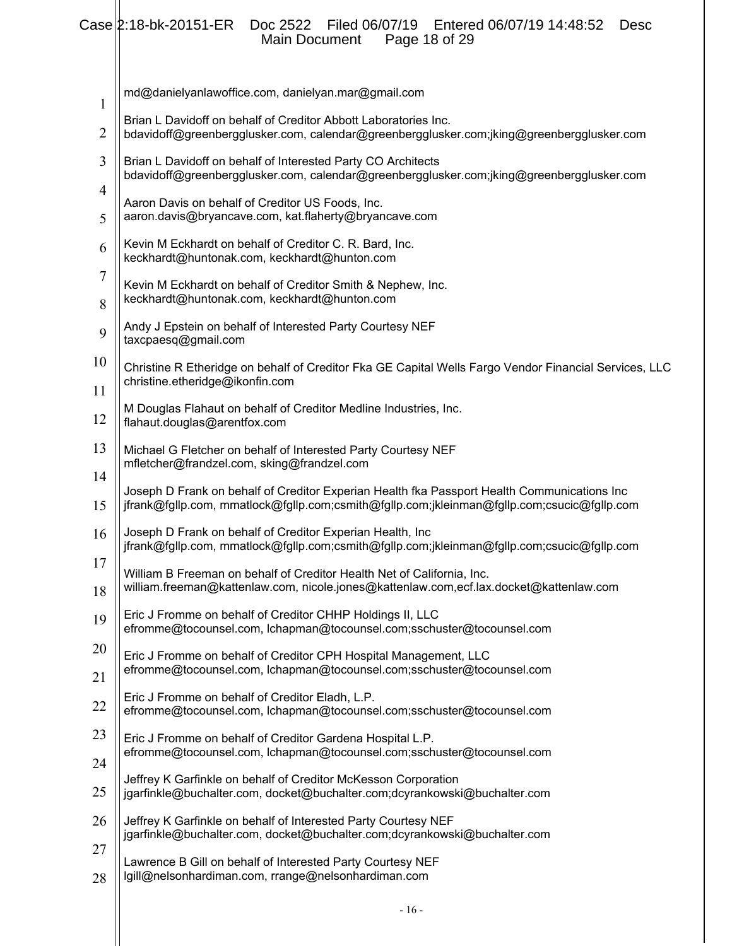# Case 2:18-bk-20151-ER Doc 2522 Filed 06/07/19 Entered 06/07/19 14:48:52 Desc Main Document Page 18 of 29

| 1              | md@danielyanlawoffice.com, danielyan.mar@gmail.com                                                                                                                                        |
|----------------|-------------------------------------------------------------------------------------------------------------------------------------------------------------------------------------------|
| $\overline{2}$ | Brian L Davidoff on behalf of Creditor Abbott Laboratories Inc.<br>bdavidoff@greenbergglusker.com, calendar@greenbergglusker.com;jking@greenbergglusker.com                               |
| 3<br>4         | Brian L Davidoff on behalf of Interested Party CO Architects<br>bdavidoff@greenbergglusker.com, calendar@greenbergglusker.com;jking@greenbergglusker.com                                  |
| 5              | Aaron Davis on behalf of Creditor US Foods, Inc.<br>aaron.davis@bryancave.com, kat.flaherty@bryancave.com                                                                                 |
| 6              | Kevin M Eckhardt on behalf of Creditor C. R. Bard, Inc.<br>keckhardt@huntonak.com, keckhardt@hunton.com                                                                                   |
| 7<br>8         | Kevin M Eckhardt on behalf of Creditor Smith & Nephew, Inc.<br>keckhardt@huntonak.com, keckhardt@hunton.com                                                                               |
| 9              | Andy J Epstein on behalf of Interested Party Courtesy NEF<br>taxcpaesq@gmail.com                                                                                                          |
| 10<br>11       | Christine R Etheridge on behalf of Creditor Fka GE Capital Wells Fargo Vendor Financial Services, LLC<br>christine.etheridge@ikonfin.com                                                  |
| 12             | M Douglas Flahaut on behalf of Creditor Medline Industries, Inc.<br>flahaut.douglas@arentfox.com                                                                                          |
| 13             | Michael G Fletcher on behalf of Interested Party Courtesy NEF<br>mfletcher@frandzel.com, sking@frandzel.com                                                                               |
| 14<br>15       | Joseph D Frank on behalf of Creditor Experian Health fka Passport Health Communications Inc<br>jfrank@fgllp.com, mmatlock@fgllp.com;csmith@fgllp.com;jkleinman@fgllp.com;csucic@fgllp.com |
| 16             | Joseph D Frank on behalf of Creditor Experian Health, Inc<br>jfrank@fgllp.com, mmatlock@fgllp.com;csmith@fgllp.com;jkleinman@fgllp.com;csucic@fgllp.com                                   |
| 17<br>18       | William B Freeman on behalf of Creditor Health Net of California, Inc.<br>william.freeman@kattenlaw.com, nicole.jones@kattenlaw.com,ecf.lax.docket@kattenlaw.com                          |
| 19             | Eric J Fromme on behalf of Creditor CHHP Holdings II, LLC<br>efromme@tocounsel.com, lchapman@tocounsel.com;sschuster@tocounsel.com                                                        |
| 20             | Eric J Fromme on behalf of Creditor CPH Hospital Management, LLC<br>efromme@tocounsel.com, lchapman@tocounsel.com;sschuster@tocounsel.com                                                 |
| 21<br>22       | Eric J Fromme on behalf of Creditor Eladh, L.P.<br>efromme@tocounsel.com, lchapman@tocounsel.com;sschuster@tocounsel.com                                                                  |
| 23             | Eric J Fromme on behalf of Creditor Gardena Hospital L.P.<br>efromme@tocounsel.com, lchapman@tocounsel.com;sschuster@tocounsel.com                                                        |
| 24<br>25       | Jeffrey K Garfinkle on behalf of Creditor McKesson Corporation<br>jgarfinkle@buchalter.com, docket@buchalter.com;dcyrankowski@buchalter.com                                               |
| 26             | Jeffrey K Garfinkle on behalf of Interested Party Courtesy NEF<br>jgarfinkle@buchalter.com, docket@buchalter.com;dcyrankowski@buchalter.com                                               |
| 27<br>28       | Lawrence B Gill on behalf of Interested Party Courtesy NEF<br>lgill@nelsonhardiman.com, rrange@nelsonhardiman.com                                                                         |
|                |                                                                                                                                                                                           |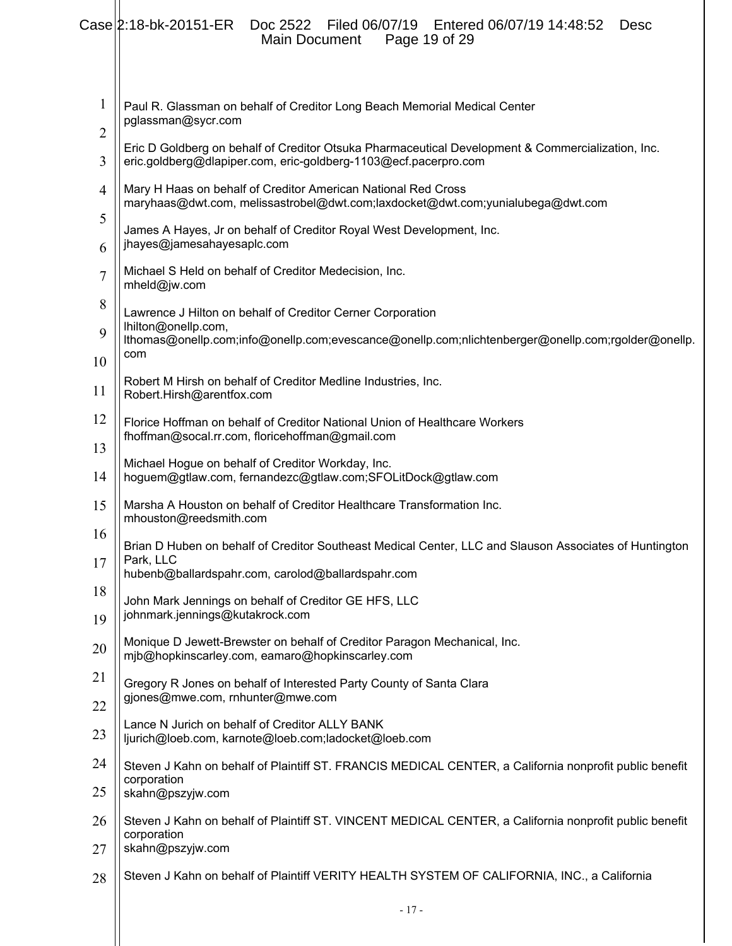|                                | Case 2:18-bk-20151-ER<br>Filed 06/07/19    Entered 06/07/19 14:48:52<br>Doc 2522<br>Desc<br>Page 19 of 29<br><b>Main Document</b>                                    |
|--------------------------------|----------------------------------------------------------------------------------------------------------------------------------------------------------------------|
| $\mathbf{1}$<br>$\overline{c}$ | Paul R. Glassman on behalf of Creditor Long Beach Memorial Medical Center<br>pglassman@sycr.com                                                                      |
| 3                              | Eric D Goldberg on behalf of Creditor Otsuka Pharmaceutical Development & Commercialization, Inc.<br>eric.goldberg@dlapiper.com, eric-goldberg-1103@ecf.pacerpro.com |
| $\overline{4}$                 | Mary H Haas on behalf of Creditor American National Red Cross<br>maryhaas@dwt.com, melissastrobel@dwt.com;laxdocket@dwt.com;yunialubega@dwt.com                      |
| 5<br>6                         | James A Hayes, Jr on behalf of Creditor Royal West Development, Inc.<br>jhayes@jamesahayesaplc.com                                                                   |
| $\overline{7}$                 | Michael S Held on behalf of Creditor Medecision, Inc.<br>mheld@jw.com                                                                                                |
| 8                              | Lawrence J Hilton on behalf of Creditor Cerner Corporation<br>lhilton@onellp.com,                                                                                    |
| 9                              | lthomas@onellp.com;info@onellp.com;evescance@onellp.com;nlichtenberger@onellp.com;rgolder@onellp.<br>com                                                             |
| 10                             | Robert M Hirsh on behalf of Creditor Medline Industries, Inc.                                                                                                        |
| 11                             | Robert.Hirsh@arentfox.com                                                                                                                                            |
| 12                             | Florice Hoffman on behalf of Creditor National Union of Healthcare Workers<br>fhoffman@socal.rr.com, floricehoffman@gmail.com                                        |
| 13<br>14                       | Michael Hogue on behalf of Creditor Workday, Inc.<br>hoguem@gtlaw.com, fernandezc@gtlaw.com;SFOLitDock@gtlaw.com                                                     |
| 15                             | Marsha A Houston on behalf of Creditor Healthcare Transformation Inc.<br>mhouston@reedsmith.com                                                                      |
| 16                             | Brian D Huben on behalf of Creditor Southeast Medical Center, LLC and Slauson Associates of Huntington                                                               |
| 17                             | Park, LLC<br>hubenb@ballardspahr.com, carolod@ballardspahr.com                                                                                                       |
| 18<br>19                       | John Mark Jennings on behalf of Creditor GE HFS, LLC<br>johnmark.jennings@kutakrock.com                                                                              |
| 20                             | Monique D Jewett-Brewster on behalf of Creditor Paragon Mechanical, Inc.<br>mjb@hopkinscarley.com, eamaro@hopkinscarley.com                                          |
| 21                             | Gregory R Jones on behalf of Interested Party County of Santa Clara                                                                                                  |
| 22                             | gjones@mwe.com, rnhunter@mwe.com                                                                                                                                     |
| 23                             | Lance N Jurich on behalf of Creditor ALLY BANK<br>ljurich@loeb.com, karnote@loeb.com;ladocket@loeb.com                                                               |
| 24                             | Steven J Kahn on behalf of Plaintiff ST. FRANCIS MEDICAL CENTER, a California nonprofit public benefit<br>corporation                                                |
| 25                             | skahn@pszyjw.com                                                                                                                                                     |
| 26                             | Steven J Kahn on behalf of Plaintiff ST. VINCENT MEDICAL CENTER, a California nonprofit public benefit<br>corporation                                                |
| 27                             | skahn@pszyjw.com                                                                                                                                                     |
| 28                             | Steven J Kahn on behalf of Plaintiff VERITY HEALTH SYSTEM OF CALIFORNIA, INC., a California                                                                          |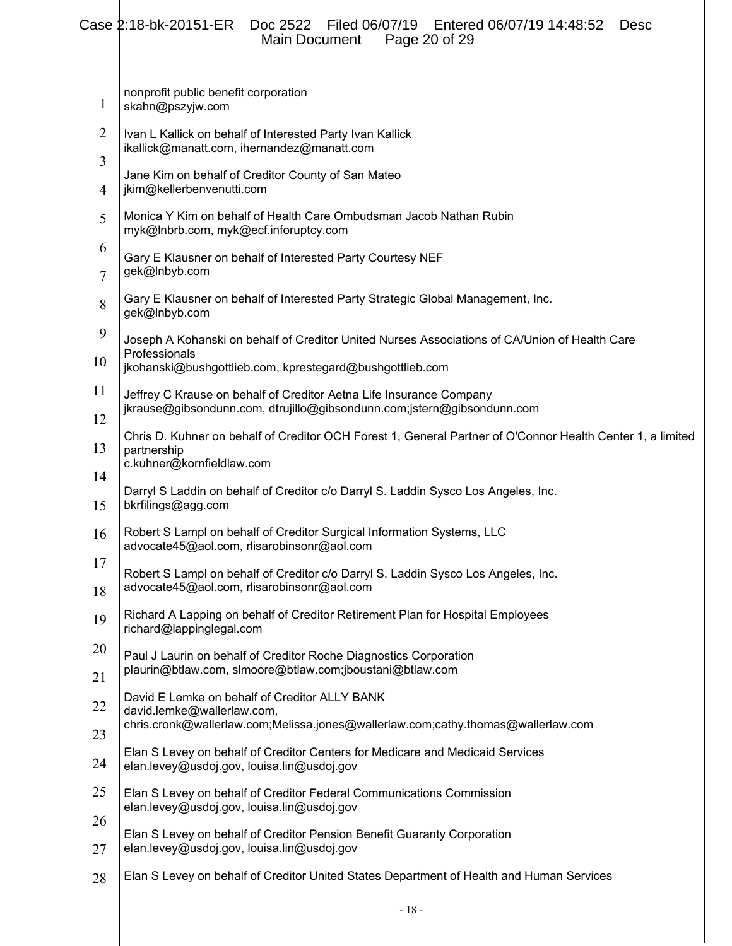|                     | $Case  2:18-bk-20151-ER$<br>Entered 06/07/19 14:48:52<br>Filed 06/07/19<br>Doc 2522<br>Desc<br>Page 20 of 29<br><b>Main Document</b>                                       |
|---------------------|----------------------------------------------------------------------------------------------------------------------------------------------------------------------------|
| 1                   | nonprofit public benefit corporation<br>skahn@pszyjw.com                                                                                                                   |
| $\overline{2}$<br>3 | Ivan L Kallick on behalf of Interested Party Ivan Kallick<br>ikallick@manatt.com, ihernandez@manatt.com                                                                    |
| 4                   | Jane Kim on behalf of Creditor County of San Mateo<br>jkim@kellerbenvenutti.com                                                                                            |
| 5                   | Monica Y Kim on behalf of Health Care Ombudsman Jacob Nathan Rubin<br>myk@Inbrb.com, myk@ecf.inforuptcy.com                                                                |
| 6<br>$\overline{7}$ | Gary E Klausner on behalf of Interested Party Courtesy NEF<br>gek@Inbyb.com                                                                                                |
| 8                   | Gary E Klausner on behalf of Interested Party Strategic Global Management, Inc.<br>gek@Inbyb.com                                                                           |
| 9<br>10             | Joseph A Kohanski on behalf of Creditor United Nurses Associations of CA/Union of Health Care<br>Professionals<br>jkohanski@bushgottlieb.com, kprestegard@bushgottlieb.com |
| 11                  | Jeffrey C Krause on behalf of Creditor Aetna Life Insurance Company<br>jkrause@gibsondunn.com, dtrujillo@gibsondunn.com;jstern@gibsondunn.com                              |
| 12<br>13            | Chris D. Kuhner on behalf of Creditor OCH Forest 1, General Partner of O'Connor Health Center 1, a limited<br>partnership                                                  |
| 14                  | c.kuhner@kornfieldlaw.com                                                                                                                                                  |
| 15                  | Darryl S Laddin on behalf of Creditor c/o Darryl S. Laddin Sysco Los Angeles, Inc.<br>bkrfilings@agg.com                                                                   |
| 16                  | Robert S Lampl on behalf of Creditor Surgical Information Systems, LLC<br>advocate45@aol.com, rlisarobinsonr@aol.com                                                       |
| 17<br>18            | Robert S Lampl on behalf of Creditor c/o Darryl S. Laddin Sysco Los Angeles, Inc.<br>advocate45@aol.com, rlisarobinsonr@aol.com                                            |
| 19                  | Richard A Lapping on behalf of Creditor Retirement Plan for Hospital Employees<br>richard@lappinglegal.com                                                                 |
| 20                  | Paul J Laurin on behalf of Creditor Roche Diagnostics Corporation<br>plaurin@btlaw.com, slmoore@btlaw.com;jboustani@btlaw.com                                              |
| 21<br>22            | David E Lemke on behalf of Creditor ALLY BANK                                                                                                                              |
| 23                  | david.lemke@wallerlaw.com,<br>chris.cronk@wallerlaw.com;Melissa.jones@wallerlaw.com;cathy.thomas@wallerlaw.com                                                             |
| 24                  | Elan S Levey on behalf of Creditor Centers for Medicare and Medicaid Services<br>elan.levey@usdoj.gov, louisa.lin@usdoj.gov                                                |
| 25                  | Elan S Levey on behalf of Creditor Federal Communications Commission<br>elan.levey@usdoj.gov, louisa.lin@usdoj.gov                                                         |
| 26                  | Elan S Levey on behalf of Creditor Pension Benefit Guaranty Corporation                                                                                                    |
| 27                  | elan.levey@usdoj.gov, louisa.lin@usdoj.gov                                                                                                                                 |
| 28                  | Elan S Levey on behalf of Creditor United States Department of Health and Human Services                                                                                   |
|                     |                                                                                                                                                                            |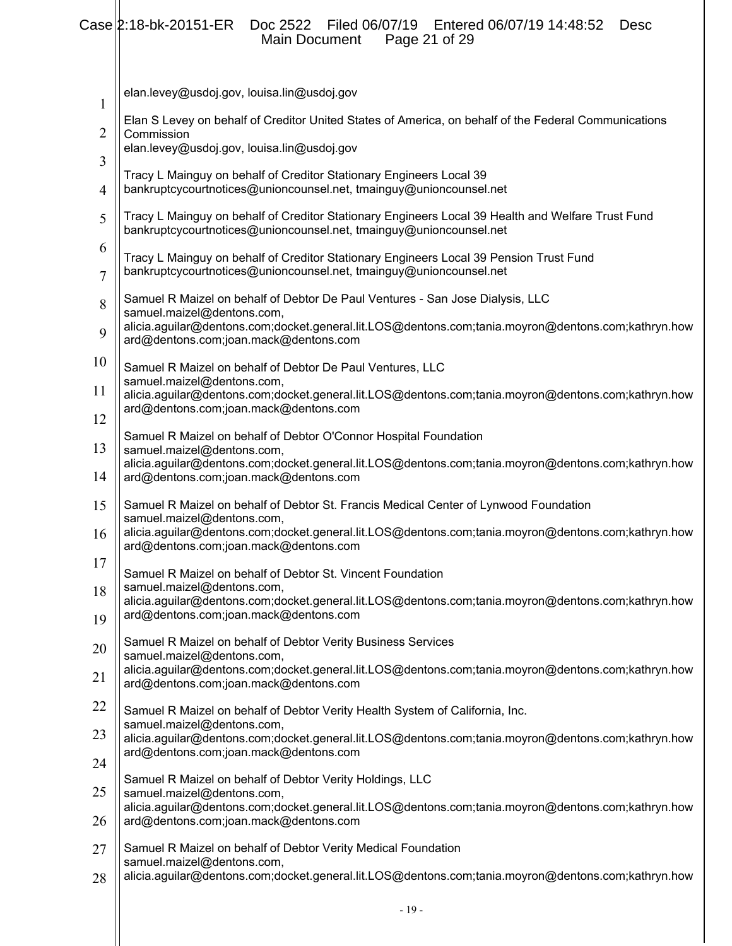#### 1 2 3 4 5 6 7 8 9 10 11 12 13 14 15 16 17 18 19 20 21 22 23 24 25 26 elan.levey@usdoj.gov, louisa.lin@usdoj.gov Elan S Levey on behalf of Creditor United States of America, on behalf of the Federal Communications **Commission** elan.levey@usdoj.gov, louisa.lin@usdoj.gov Tracy L Mainguy on behalf of Creditor Stationary Engineers Local 39 bankruptcycourtnotices@unioncounsel.net, tmainguy@unioncounsel.net Tracy L Mainguy on behalf of Creditor Stationary Engineers Local 39 Health and Welfare Trust Fund bankruptcycourtnotices@unioncounsel.net, tmainguy@unioncounsel.net Tracy L Mainguy on behalf of Creditor Stationary Engineers Local 39 Pension Trust Fund bankruptcycourtnotices@unioncounsel.net, tmainguy@unioncounsel.net Samuel R Maizel on behalf of Debtor De Paul Ventures - San Jose Dialysis, LLC samuel.maizel@dentons.com, alicia.aguilar@dentons.com;docket.general.lit.LOS@dentons.com;tania.moyron@dentons.com;kathryn.how ard@dentons.com;joan.mack@dentons.com Samuel R Maizel on behalf of Debtor De Paul Ventures, LLC samuel.maizel@dentons.com, alicia.aguilar@dentons.com;docket.general.lit.LOS@dentons.com;tania.moyron@dentons.com;kathryn.how ard@dentons.com;joan.mack@dentons.com Samuel R Maizel on behalf of Debtor O'Connor Hospital Foundation samuel.maizel@dentons.com, alicia.aguilar@dentons.com;docket.general.lit.LOS@dentons.com;tania.moyron@dentons.com;kathryn.how ard@dentons.com;joan.mack@dentons.com Samuel R Maizel on behalf of Debtor St. Francis Medical Center of Lynwood Foundation samuel.maizel@dentons.com, alicia.aguilar@dentons.com;docket.general.lit.LOS@dentons.com;tania.moyron@dentons.com;kathryn.how ard@dentons.com;joan.mack@dentons.com Samuel R Maizel on behalf of Debtor St. Vincent Foundation samuel.maizel@dentons.com, alicia.aguilar@dentons.com;docket.general.lit.LOS@dentons.com;tania.moyron@dentons.com;kathryn.how ard@dentons.com;joan.mack@dentons.com Samuel R Maizel on behalf of Debtor Verity Business Services samuel.maizel@dentons.com, alicia.aguilar@dentons.com;docket.general.lit.LOS@dentons.com;tania.moyron@dentons.com;kathryn.how ard@dentons.com;joan.mack@dentons.com Samuel R Maizel on behalf of Debtor Verity Health System of California, Inc. samuel.maizel@dentons.com, alicia.aguilar@dentons.com;docket.general.lit.LOS@dentons.com;tania.moyron@dentons.com;kathryn.how ard@dentons.com;joan.mack@dentons.com Samuel R Maizel on behalf of Debtor Verity Holdings, LLC samuel.maizel@dentons.com, alicia.aguilar@dentons.com;docket.general.lit.LOS@dentons.com;tania.moyron@dentons.com;kathryn.how ard@dentons.com;joan.mack@dentons.com Case 2:18-bk-20151-ER Doc 2522 Filed 06/07/19 Entered 06/07/19 14:48:52 Desc<br>Main Document Page 21 of 29 Main Document

- 27 Samuel R Maizel on behalf of Debtor Verity Medical Foundation samuel.maizel@dentons.com,
- 28 alicia.aguilar@dentons.com;docket.general.lit.LOS@dentons.com;tania.moyron@dentons.com;kathryn.how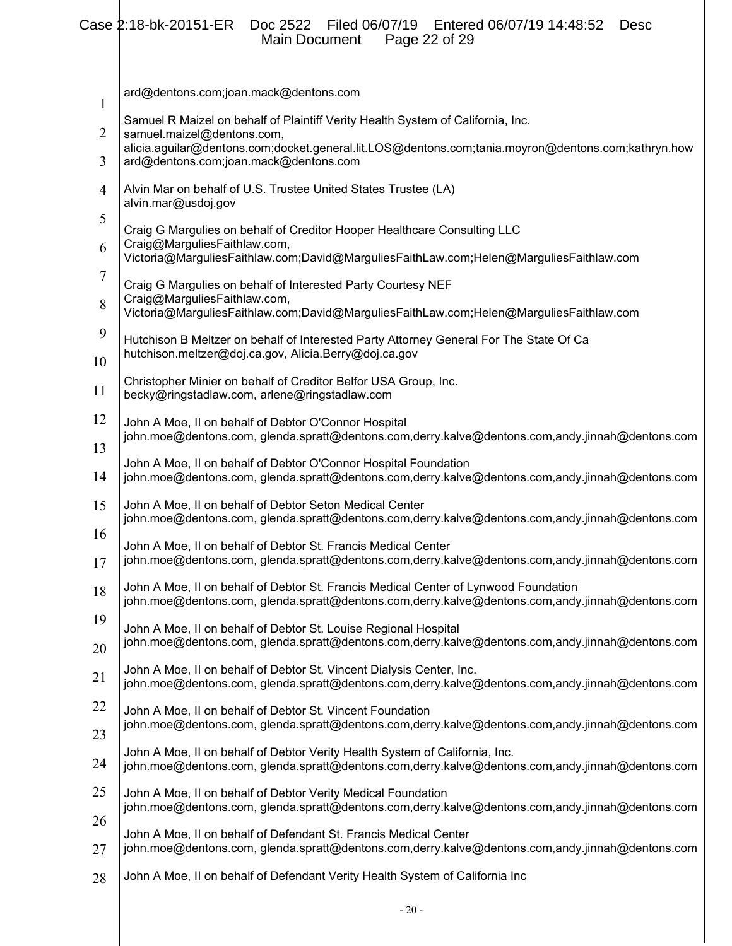|                | Case 2:18-bk-20151-ER Doc 2522 Filed 06/07/19 Entered 06/07/19 14:48:52<br>Desc<br>Page 22 of 29<br>Main Document                                                                      |
|----------------|----------------------------------------------------------------------------------------------------------------------------------------------------------------------------------------|
|                |                                                                                                                                                                                        |
| 1              | ard@dentons.com;joan.mack@dentons.com                                                                                                                                                  |
| $\overline{2}$ | Samuel R Maizel on behalf of Plaintiff Verity Health System of California, Inc.<br>samuel.maizel@dentons.com,                                                                          |
| 3              | alicia.aguilar@dentons.com;docket.general.lit.LOS@dentons.com;tania.moyron@dentons.com;kathryn.how<br>ard@dentons.com;joan.mack@dentons.com                                            |
| $\overline{4}$ | Alvin Mar on behalf of U.S. Trustee United States Trustee (LA)<br>alvin.mar@usdoj.gov                                                                                                  |
| 5              | Craig G Margulies on behalf of Creditor Hooper Healthcare Consulting LLC                                                                                                               |
| 6              | Craig@MarguliesFaithlaw.com,<br>Victoria@MarguliesFaithlaw.com;David@MarguliesFaithLaw.com;Helen@MarguliesFaithlaw.com                                                                 |
| $\overline{7}$ | Craig G Margulies on behalf of Interested Party Courtesy NEF                                                                                                                           |
| 8              | Craig@MarguliesFaithlaw.com,<br>Victoria@MarguliesFaithlaw.com;David@MarguliesFaithLaw.com;Helen@MarguliesFaithlaw.com                                                                 |
| 9              | Hutchison B Meltzer on behalf of Interested Party Attorney General For The State Of Ca                                                                                                 |
| 10             | hutchison.meltzer@doj.ca.gov, Alicia.Berry@doj.ca.gov                                                                                                                                  |
| 11             | Christopher Minier on behalf of Creditor Belfor USA Group, Inc.<br>becky@ringstadlaw.com, arlene@ringstadlaw.com                                                                       |
| 12             | John A Moe, II on behalf of Debtor O'Connor Hospital<br>john.moe@dentons.com, glenda.spratt@dentons.com,derry.kalve@dentons.com,andy.jinnah@dentons.com                                |
| 13             | John A Moe, II on behalf of Debtor O'Connor Hospital Foundation                                                                                                                        |
| 14             | john.moe@dentons.com, glenda.spratt@dentons.com,derry.kalve@dentons.com,andy.jinnah@dentons.com                                                                                        |
| 15             | John A Moe, II on behalf of Debtor Seton Medical Center<br>john.moe@dentons.com, glenda.spratt@dentons.com,derry.kalve@dentons.com,andy.jinnah@dentons.com                             |
| 16<br>17       | John A Moe, II on behalf of Debtor St. Francis Medical Center<br>john.moe@dentons.com, glenda.spratt@dentons.com,derry.kalve@dentons.com,andy.jinnah@dentons.com                       |
| 18             | John A Moe, II on behalf of Debtor St. Francis Medical Center of Lynwood Foundation<br>john.moe@dentons.com, glenda.spratt@dentons.com,derry.kalve@dentons.com,andy.jinnah@dentons.com |
| 19<br>20       | John A Moe, II on behalf of Debtor St. Louise Regional Hospital<br>john.moe@dentons.com, glenda.spratt@dentons.com,derry.kalve@dentons.com,andy.jinnah@dentons.com                     |
| 21             | John A Moe, II on behalf of Debtor St. Vincent Dialysis Center, Inc.<br>john.moe@dentons.com, glenda.spratt@dentons.com,derry.kalve@dentons.com,andy.jinnah@dentons.com                |
| 22             | John A Moe, II on behalf of Debtor St. Vincent Foundation                                                                                                                              |
| 23             | john.moe@dentons.com, glenda.spratt@dentons.com,derry.kalve@dentons.com,andy.jinnah@dentons.com                                                                                        |
| 24             | John A Moe, II on behalf of Debtor Verity Health System of California, Inc.<br>john.moe@dentons.com, glenda.spratt@dentons.com,derry.kalve@dentons.com,andy.jinnah@dentons.com         |
| 25             | John A Moe, II on behalf of Debtor Verity Medical Foundation<br>john.moe@dentons.com, glenda.spratt@dentons.com,derry.kalve@dentons.com,andy.jinnah@dentons.com                        |
| 26<br>27       | John A Moe, II on behalf of Defendant St. Francis Medical Center<br>john.moe@dentons.com, glenda.spratt@dentons.com,derry.kalve@dentons.com,andy.jinnah@dentons.com                    |
| 28             | John A Moe, II on behalf of Defendant Verity Health System of California Inc                                                                                                           |
|                |                                                                                                                                                                                        |
|                | $-20-$                                                                                                                                                                                 |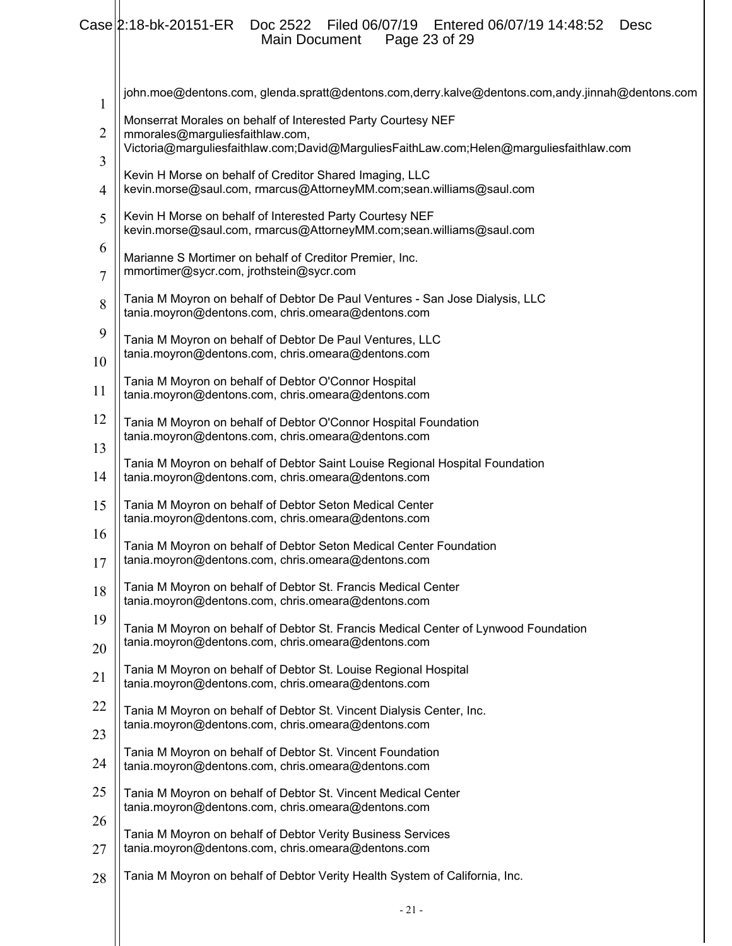# Case 2:18-bk-20151-ER Doc 2522 Filed 06/07/19 Entered 06/07/19 14:48:52 Desc Main Document Page 23 of 29

| $\mathbf{1}$   | john.moe@dentons.com, glenda.spratt@dentons.com,derry.kalve@dentons.com,andy.jinnah@dentons.com                                                   |
|----------------|---------------------------------------------------------------------------------------------------------------------------------------------------|
| $\overline{2}$ | Monserrat Morales on behalf of Interested Party Courtesy NEF<br>mmorales@marguliesfaithlaw.com,                                                   |
| 3              | Victoria@marguliesfaithlaw.com;David@MarguliesFaithLaw.com;Helen@marguliesfaithlaw.com<br>Kevin H Morse on behalf of Creditor Shared Imaging, LLC |
| 4              | kevin.morse@saul.com, rmarcus@AttorneyMM.com;sean.williams@saul.com                                                                               |
| 5              | Kevin H Morse on behalf of Interested Party Courtesy NEF<br>kevin.morse@saul.com, rmarcus@AttorneyMM.com;sean.williams@saul.com                   |
| 6<br>7         | Marianne S Mortimer on behalf of Creditor Premier, Inc.<br>mmortimer@sycr.com, jrothstein@sycr.com                                                |
| 8              | Tania M Moyron on behalf of Debtor De Paul Ventures - San Jose Dialysis, LLC<br>tania.moyron@dentons.com, chris.omeara@dentons.com                |
| 9<br>10        | Tania M Moyron on behalf of Debtor De Paul Ventures, LLC<br>tania.moyron@dentons.com, chris.omeara@dentons.com                                    |
| 11             | Tania M Moyron on behalf of Debtor O'Connor Hospital<br>tania.moyron@dentons.com, chris.omeara@dentons.com                                        |
| 12<br>13       | Tania M Moyron on behalf of Debtor O'Connor Hospital Foundation<br>tania.moyron@dentons.com, chris.omeara@dentons.com                             |
| 14             | Tania M Moyron on behalf of Debtor Saint Louise Regional Hospital Foundation<br>tania.moyron@dentons.com, chris.omeara@dentons.com                |
| 15             | Tania M Moyron on behalf of Debtor Seton Medical Center<br>tania.moyron@dentons.com, chris.omeara@dentons.com                                     |
| 16<br>17       | Tania M Moyron on behalf of Debtor Seton Medical Center Foundation<br>tania.moyron@dentons.com, chris.omeara@dentons.com                          |
| 18             | Tania M Moyron on behalf of Debtor St. Francis Medical Center<br>tania.moyron@dentons.com, chris.omeara@dentons.com                               |
| 19<br>20       | Tania M Moyron on behalf of Debtor St. Francis Medical Center of Lynwood Foundation<br>tania.moyron@dentons.com, chris.omeara@dentons.com         |
| 21             | Tania M Moyron on behalf of Debtor St. Louise Regional Hospital<br>tania.moyron@dentons.com, chris.omeara@dentons.com                             |
| 22             | Tania M Moyron on behalf of Debtor St. Vincent Dialysis Center, Inc.<br>tania.moyron@dentons.com, chris.omeara@dentons.com                        |
| 23<br>24       | Tania M Moyron on behalf of Debtor St. Vincent Foundation<br>tania.moyron@dentons.com, chris.omeara@dentons.com                                   |
| 25             | Tania M Moyron on behalf of Debtor St. Vincent Medical Center<br>tania.moyron@dentons.com, chris.omeara@dentons.com                               |
| 26<br>27       | Tania M Moyron on behalf of Debtor Verity Business Services<br>tania.moyron@dentons.com, chris.omeara@dentons.com                                 |
| 28             | Tania M Moyron on behalf of Debtor Verity Health System of California, Inc.                                                                       |
|                |                                                                                                                                                   |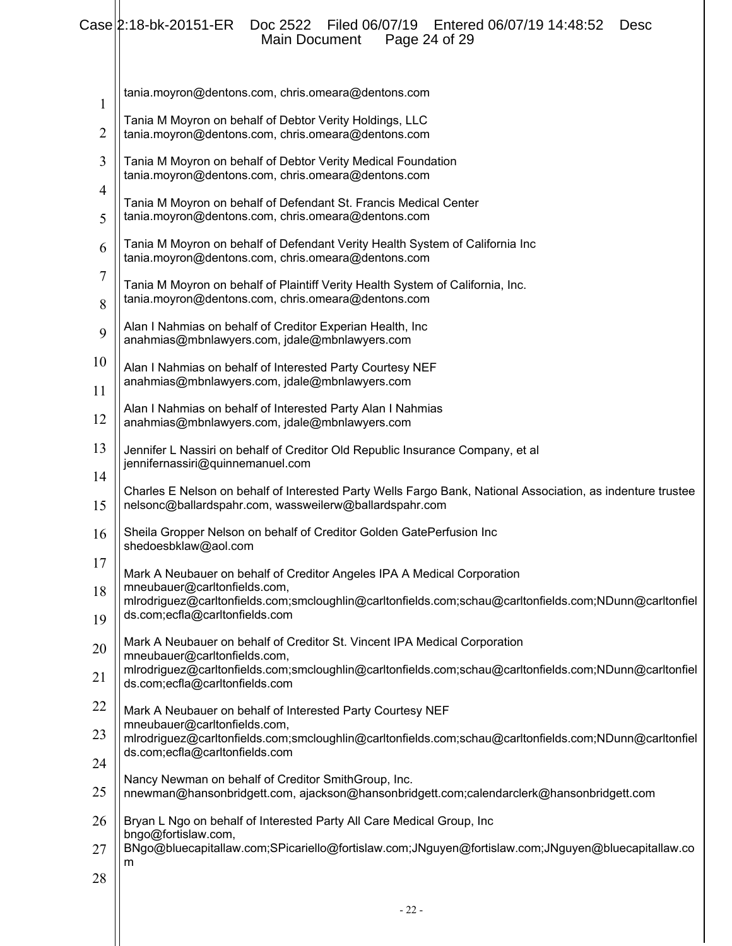# Case 2:18-bk-20151-ER Doc 2522 Filed 06/07/19 Entered 06/07/19 14:48:52 Desc Main Document Page 24 of 29

| $\mathbf{1}$   | tania.moyron@dentons.com, chris.omeara@dentons.com                                                                                                                                                                                                 |
|----------------|----------------------------------------------------------------------------------------------------------------------------------------------------------------------------------------------------------------------------------------------------|
| 2              | Tania M Moyron on behalf of Debtor Verity Holdings, LLC<br>tania.moyron@dentons.com, chris.omeara@dentons.com                                                                                                                                      |
| 3<br>4         | Tania M Moyron on behalf of Debtor Verity Medical Foundation<br>tania.moyron@dentons.com, chris.omeara@dentons.com                                                                                                                                 |
| 5              | Tania M Moyron on behalf of Defendant St. Francis Medical Center<br>tania.moyron@dentons.com, chris.omeara@dentons.com                                                                                                                             |
| 6              | Tania M Moyron on behalf of Defendant Verity Health System of California Inc<br>tania.moyron@dentons.com, chris.omeara@dentons.com                                                                                                                 |
| 7<br>8         | Tania M Moyron on behalf of Plaintiff Verity Health System of California, Inc.<br>tania.moyron@dentons.com, chris.omeara@dentons.com                                                                                                               |
| 9              | Alan I Nahmias on behalf of Creditor Experian Health, Inc<br>anahmias@mbnlawyers.com, jdale@mbnlawyers.com                                                                                                                                         |
| 10<br>11       | Alan I Nahmias on behalf of Interested Party Courtesy NEF<br>anahmias@mbnlawyers.com, jdale@mbnlawyers.com                                                                                                                                         |
| 12             | Alan I Nahmias on behalf of Interested Party Alan I Nahmias<br>anahmias@mbnlawyers.com, jdale@mbnlawyers.com                                                                                                                                       |
| 13             | Jennifer L Nassiri on behalf of Creditor Old Republic Insurance Company, et al<br>jennifernassiri@quinnemanuel.com                                                                                                                                 |
| 14<br>15       | Charles E Nelson on behalf of Interested Party Wells Fargo Bank, National Association, as indenture trustee<br>nelsonc@ballardspahr.com, wassweilerw@ballardspahr.com                                                                              |
| 16             | Sheila Gropper Nelson on behalf of Creditor Golden GatePerfusion Inc<br>shedoesbklaw@aol.com                                                                                                                                                       |
| 17<br>18<br>19 | Mark A Neubauer on behalf of Creditor Angeles IPA A Medical Corporation<br>mneubauer@carltonfields.com,<br>mlrodriguez@carltonfields.com;smcloughlin@carltonfields.com;schau@carltonfields.com;NDunn@carltonfiel<br>ds.com;ecfla@carltonfields.com |
| 20             | Mark A Neubauer on behalf of Creditor St. Vincent IPA Medical Corporation<br>mneubauer@carltonfields.com,                                                                                                                                          |
| 21             | mlrodriguez@carltonfields.com;smcloughlin@carltonfields.com;schau@carltonfields.com;NDunn@carltonfiel<br>ds.com;ecfla@carltonfields.com                                                                                                            |
| 22             | Mark A Neubauer on behalf of Interested Party Courtesy NEF                                                                                                                                                                                         |
| 23             | mneubauer@carltonfields.com,<br>mlrodriguez@carltonfields.com;smcloughlin@carltonfields.com;schau@carltonfields.com;NDunn@carltonfiel<br>ds.com;ecfla@carltonfields.com                                                                            |
| 24             | Nancy Newman on behalf of Creditor SmithGroup, Inc.                                                                                                                                                                                                |
| 25<br>26       | nnewman@hansonbridgett.com, ajackson@hansonbridgett.com;calendarclerk@hansonbridgett.com<br>Bryan L Ngo on behalf of Interested Party All Care Medical Group, Inc                                                                                  |
| 27             | bngo@fortislaw.com,<br>BNgo@bluecapitallaw.com;SPicariello@fortislaw.com;JNguyen@fortislaw.com;JNguyen@bluecapitallaw.co                                                                                                                           |
| 28             | m                                                                                                                                                                                                                                                  |
|                |                                                                                                                                                                                                                                                    |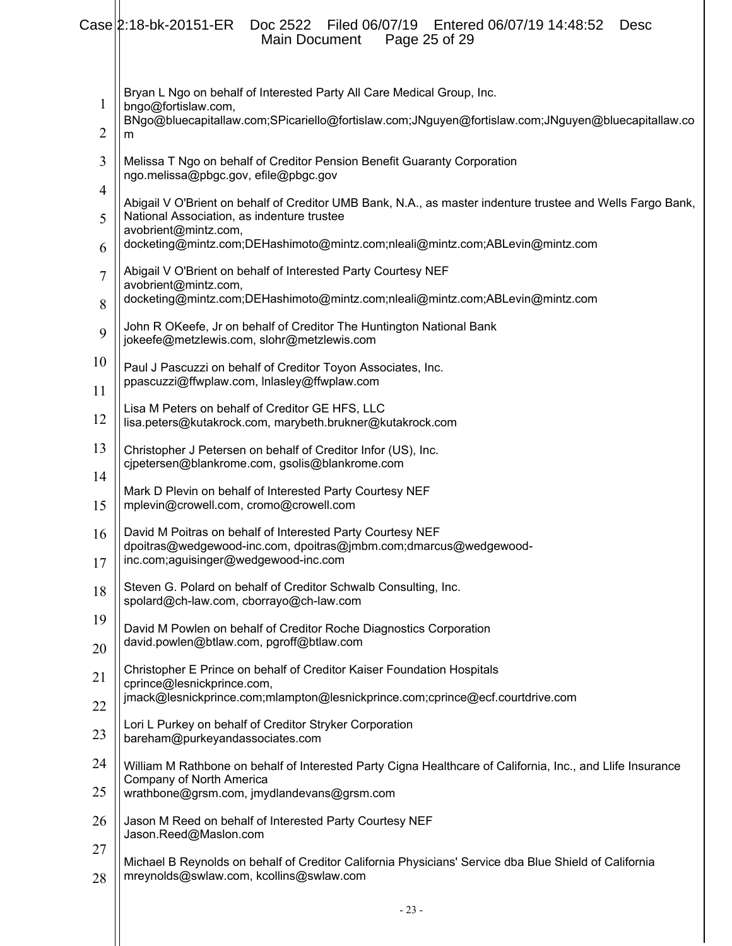|                     | $Case  2:18-bk-20151-ER$<br>Doc 2522 Filed 06/07/19 Entered 06/07/19 14:48:52<br>Desc<br>Main Document<br>Page 25 of 29                                                |
|---------------------|------------------------------------------------------------------------------------------------------------------------------------------------------------------------|
| $\mathbf{1}$        | Bryan L Ngo on behalf of Interested Party All Care Medical Group, Inc.<br>bngo@fortislaw.com,                                                                          |
| $\overline{2}$      | BNgo@bluecapitallaw.com;SPicariello@fortislaw.com;JNguyen@fortislaw.com;JNguyen@bluecapitallaw.co<br>m                                                                 |
| 3                   | Melissa T Ngo on behalf of Creditor Pension Benefit Guaranty Corporation<br>ngo.melissa@pbgc.gov, efile@pbgc.gov                                                       |
| $\overline{4}$<br>5 | Abigail V O'Brient on behalf of Creditor UMB Bank, N.A., as master indenture trustee and Wells Fargo Bank,<br>National Association, as indenture trustee               |
| 6                   | avobrient@mintz.com,<br>docketing@mintz.com;DEHashimoto@mintz.com;nleali@mintz.com;ABLevin@mintz.com                                                                   |
| 7                   | Abigail V O'Brient on behalf of Interested Party Courtesy NEF<br>avobrient@mintz.com,                                                                                  |
| 8                   | docketing@mintz.com;DEHashimoto@mintz.com;nleali@mintz.com;ABLevin@mintz.com                                                                                           |
| 9                   | John R OKeefe, Jr on behalf of Creditor The Huntington National Bank<br>jokeefe@metzlewis.com, slohr@metzlewis.com                                                     |
| 10                  | Paul J Pascuzzi on behalf of Creditor Toyon Associates, Inc.                                                                                                           |
| 11                  | ppascuzzi@ffwplaw.com, Inlasley@ffwplaw.com                                                                                                                            |
| 12                  | Lisa M Peters on behalf of Creditor GE HFS, LLC<br>lisa.peters@kutakrock.com, marybeth.brukner@kutakrock.com                                                           |
| 13                  | Christopher J Petersen on behalf of Creditor Infor (US), Inc.<br>cjpetersen@blankrome.com, gsolis@blankrome.com                                                        |
| 14<br>15            | Mark D Plevin on behalf of Interested Party Courtesy NEF<br>mplevin@crowell.com, cromo@crowell.com                                                                     |
| 16<br>17            | David M Poitras on behalf of Interested Party Courtesy NEF<br>dpoitras@wedgewood-inc.com, dpoitras@jmbm.com;dmarcus@wedgewood-<br>inc.com;aguisinger@wedgewood-inc.com |
| 18                  | Steven G. Polard on behalf of Creditor Schwalb Consulting, Inc.<br>spolard@ch-law.com, cborrayo@ch-law.com                                                             |
| 19                  | David M Powlen on behalf of Creditor Roche Diagnostics Corporation                                                                                                     |
| 20                  | david.powlen@btlaw.com, pgroff@btlaw.com                                                                                                                               |
| 21                  | Christopher E Prince on behalf of Creditor Kaiser Foundation Hospitals<br>cprince@lesnickprince.com,                                                                   |
| 22                  | jmack@lesnickprince.com;mlampton@lesnickprince.com;cprince@ecf.courtdrive.com                                                                                          |
| 23                  | Lori L Purkey on behalf of Creditor Stryker Corporation<br>bareham@purkeyandassociates.com                                                                             |
| 24                  | William M Rathbone on behalf of Interested Party Cigna Healthcare of California, Inc., and Llife Insurance                                                             |
| 25                  | Company of North America<br>wrathbone@grsm.com, jmydlandevans@grsm.com                                                                                                 |
| 26                  | Jason M Reed on behalf of Interested Party Courtesy NEF<br>Jason.Reed@Maslon.com                                                                                       |
| 27                  | Michael B Reynolds on behalf of Creditor California Physicians' Service dba Blue Shield of California                                                                  |
| 28                  | mreynolds@swlaw.com, kcollins@swlaw.com                                                                                                                                |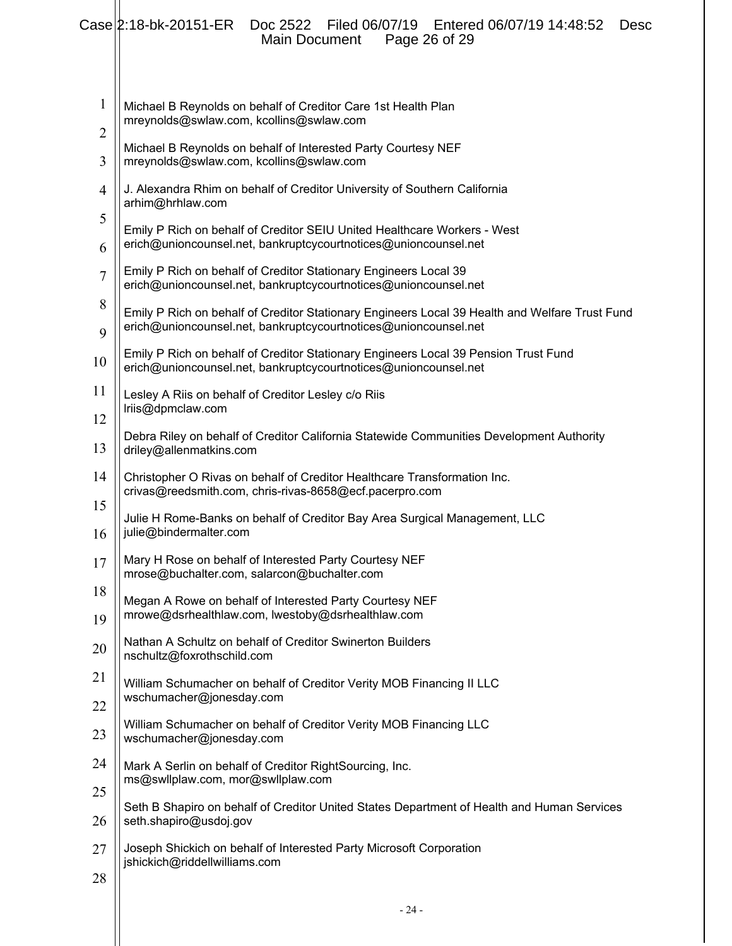|                     | Case 2:18-bk-20151-ER<br>Entered 06/07/19 14:48:52<br>Doc 2522<br>Filed 06/07/19<br>Desc<br>Page 26 of 29<br>Main Document                                        |
|---------------------|-------------------------------------------------------------------------------------------------------------------------------------------------------------------|
| 1<br>$\overline{c}$ | Michael B Reynolds on behalf of Creditor Care 1st Health Plan<br>mreynolds@swlaw.com, kcollins@swlaw.com                                                          |
| 3                   | Michael B Reynolds on behalf of Interested Party Courtesy NEF<br>mreynolds@swlaw.com, kcollins@swlaw.com                                                          |
| $\overline{4}$      | J. Alexandra Rhim on behalf of Creditor University of Southern California<br>arhim@hrhlaw.com                                                                     |
| 5<br>6              | Emily P Rich on behalf of Creditor SEIU United Healthcare Workers - West<br>erich@unioncounsel.net, bankruptcycourtnotices@unioncounsel.net                       |
| $\overline{7}$      | Emily P Rich on behalf of Creditor Stationary Engineers Local 39<br>erich@unioncounsel.net, bankruptcycourtnotices@unioncounsel.net                               |
| 8                   | Emily P Rich on behalf of Creditor Stationary Engineers Local 39 Health and Welfare Trust Fund<br>erich@unioncounsel.net, bankruptcycourtnotices@unioncounsel.net |
| 9<br>10             | Emily P Rich on behalf of Creditor Stationary Engineers Local 39 Pension Trust Fund<br>erich@unioncounsel.net, bankruptcycourtnotices@unioncounsel.net            |
| 11                  | Lesley A Riis on behalf of Creditor Lesley c/o Riis<br>Iriis@dpmclaw.com                                                                                          |
| 12<br>13            | Debra Riley on behalf of Creditor California Statewide Communities Development Authority<br>driley@allenmatkins.com                                               |
| 14                  | Christopher O Rivas on behalf of Creditor Healthcare Transformation Inc.<br>crivas@reedsmith.com, chris-rivas-8658@ecf.pacerpro.com                               |
| 15                  | Julie H Rome-Banks on behalf of Creditor Bay Area Surgical Management, LLC<br>julie@bindermalter.com                                                              |
| 16<br>17            | Mary H Rose on behalf of Interested Party Courtesy NEF                                                                                                            |
| 18                  | mrose@buchalter.com, salarcon@buchalter.com<br>Megan A Rowe on behalf of Interested Party Courtesy NEF                                                            |
| 19                  | mrowe@dsrhealthlaw.com, lwestoby@dsrhealthlaw.com                                                                                                                 |
| 20                  | Nathan A Schultz on behalf of Creditor Swinerton Builders<br>nschultz@foxrothschild.com                                                                           |
| 21<br>22            | William Schumacher on behalf of Creditor Verity MOB Financing II LLC<br>wschumacher@jonesday.com                                                                  |
| 23                  | William Schumacher on behalf of Creditor Verity MOB Financing LLC<br>wschumacher@jonesday.com                                                                     |
| 24                  | Mark A Serlin on behalf of Creditor RightSourcing, Inc.<br>ms@swllplaw.com, mor@swllplaw.com                                                                      |
| 25<br>26            | Seth B Shapiro on behalf of Creditor United States Department of Health and Human Services<br>seth.shapiro@usdoj.gov                                              |
| 27                  | Joseph Shickich on behalf of Interested Party Microsoft Corporation                                                                                               |
| 28                  | jshickich@riddellwilliams.com                                                                                                                                     |
|                     | $-24-$                                                                                                                                                            |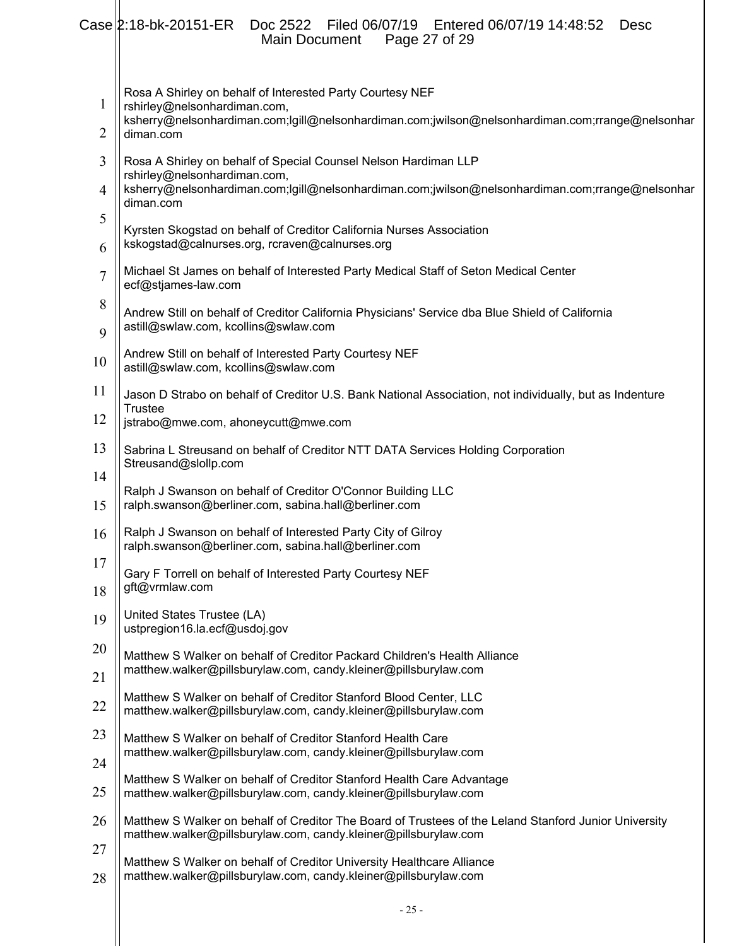|                | Case 2:18-bk-20151-ER<br>Doc 2522 Filed 06/07/19 Entered 06/07/19 14:48:52<br><b>Desc</b><br>Page 27 of 29<br>Main Document                                              |
|----------------|--------------------------------------------------------------------------------------------------------------------------------------------------------------------------|
| $\mathbf{1}$   | Rosa A Shirley on behalf of Interested Party Courtesy NEF<br>rshirley@nelsonhardiman.com,                                                                                |
| 2              | ksherry@nelsonhardiman.com;lgill@nelsonhardiman.com;jwilson@nelsonhardiman.com;rrange@nelsonhar<br>diman.com                                                             |
| 3              | Rosa A Shirley on behalf of Special Counsel Nelson Hardiman LLP<br>rshirley@nelsonhardiman.com,                                                                          |
| 4              | ksherry@nelsonhardiman.com;lgill@nelsonhardiman.com;jwilson@nelsonhardiman.com;rrange@nelsonhar<br>diman.com                                                             |
| 5              | Kyrsten Skogstad on behalf of Creditor California Nurses Association<br>kskogstad@calnurses.org, rcraven@calnurses.org                                                   |
| 6              |                                                                                                                                                                          |
| $\overline{7}$ | Michael St James on behalf of Interested Party Medical Staff of Seton Medical Center<br>ecf@stjames-law.com                                                              |
| 8<br>9         | Andrew Still on behalf of Creditor California Physicians' Service dba Blue Shield of California<br>astill@swlaw.com, kcollins@swlaw.com                                  |
| 10             | Andrew Still on behalf of Interested Party Courtesy NEF<br>astill@swlaw.com, kcollins@swlaw.com                                                                          |
| 11             | Jason D Strabo on behalf of Creditor U.S. Bank National Association, not individually, but as Indenture                                                                  |
| 12             | <b>Trustee</b><br>jstrabo@mwe.com, ahoneycutt@mwe.com                                                                                                                    |
| 13             | Sabrina L Streusand on behalf of Creditor NTT DATA Services Holding Corporation<br>Streusand@slollp.com                                                                  |
| 14             | Ralph J Swanson on behalf of Creditor O'Connor Building LLC                                                                                                              |
| 15             | ralph.swanson@berliner.com, sabina.hall@berliner.com                                                                                                                     |
| 16             | Ralph J Swanson on behalf of Interested Party City of Gilroy<br>ralph.swanson@berliner.com, sabina.hall@berliner.com                                                     |
| 17             | Gary F Torrell on behalf of Interested Party Courtesy NEF<br>gft@vrmlaw.com                                                                                              |
| 18             |                                                                                                                                                                          |
| 19             | United States Trustee (LA)<br>ustpregion16.la.ecf@usdoj.gov                                                                                                              |
| 20<br>21       | Matthew S Walker on behalf of Creditor Packard Children's Health Alliance<br>matthew.walker@pillsburylaw.com, candy.kleiner@pillsburylaw.com                             |
| 22             | Matthew S Walker on behalf of Creditor Stanford Blood Center, LLC<br>matthew.walker@pillsburylaw.com, candy.kleiner@pillsburylaw.com                                     |
| 23             | Matthew S Walker on behalf of Creditor Stanford Health Care                                                                                                              |
| 24             | matthew.walker@pillsburylaw.com, candy.kleiner@pillsburylaw.com                                                                                                          |
| 25             | Matthew S Walker on behalf of Creditor Stanford Health Care Advantage<br>matthew.walker@pillsburylaw.com, candy.kleiner@pillsburylaw.com                                 |
| 26             | Matthew S Walker on behalf of Creditor The Board of Trustees of the Leland Stanford Junior University<br>matthew.walker@pillsburylaw.com, candy.kleiner@pillsburylaw.com |
| 27             |                                                                                                                                                                          |
| 28             | Matthew S Walker on behalf of Creditor University Healthcare Alliance<br>matthew.walker@pillsburylaw.com, candy.kleiner@pillsburylaw.com                                 |
|                |                                                                                                                                                                          |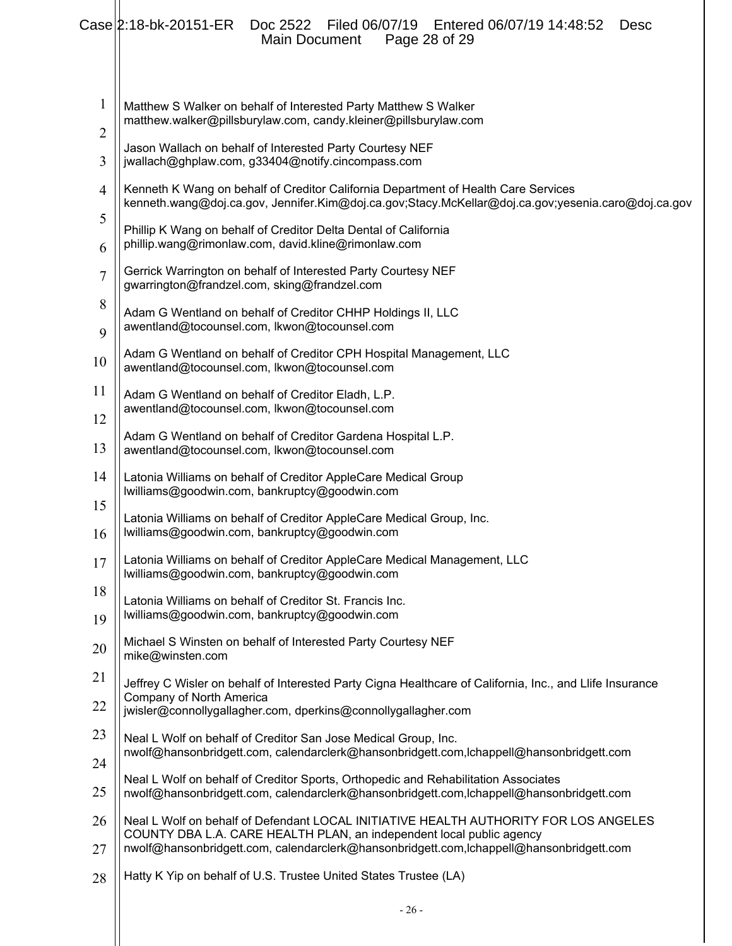|                                | Case 2:18-bk-20151-ER<br>Filed 06/07/19   Entered 06/07/19 14:48:52<br>Doc 2522<br><b>Desc</b><br>Main Document<br>Page 28 of 29                                                         |
|--------------------------------|------------------------------------------------------------------------------------------------------------------------------------------------------------------------------------------|
| $\mathbf{1}$<br>$\overline{2}$ | Matthew S Walker on behalf of Interested Party Matthew S Walker<br>matthew.walker@pillsburylaw.com, candy.kleiner@pillsburylaw.com                                                       |
| 3                              | Jason Wallach on behalf of Interested Party Courtesy NEF<br>jwallach@ghplaw.com, g33404@notify.cincompass.com                                                                            |
| $\overline{4}$                 | Kenneth K Wang on behalf of Creditor California Department of Health Care Services<br>kenneth.wang@doj.ca.gov, Jennifer.Kim@doj.ca.gov;Stacy.McKellar@doj.ca.gov;yesenia.caro@doj.ca.gov |
| 5<br>6                         | Phillip K Wang on behalf of Creditor Delta Dental of California<br>phillip.wang@rimonlaw.com, david.kline@rimonlaw.com                                                                   |
| $\overline{7}$                 | Gerrick Warrington on behalf of Interested Party Courtesy NEF<br>gwarrington@frandzel.com, sking@frandzel.com                                                                            |
| 8<br>9                         | Adam G Wentland on behalf of Creditor CHHP Holdings II, LLC<br>awentland@tocounsel.com, lkwon@tocounsel.com                                                                              |
| 10                             | Adam G Wentland on behalf of Creditor CPH Hospital Management, LLC<br>awentland@tocounsel.com, lkwon@tocounsel.com                                                                       |
| 11                             | Adam G Wentland on behalf of Creditor Eladh, L.P.<br>awentland@tocounsel.com, lkwon@tocounsel.com                                                                                        |
| 12<br>13                       | Adam G Wentland on behalf of Creditor Gardena Hospital L.P.<br>awentland@tocounsel.com, lkwon@tocounsel.com                                                                              |
| 14                             | Latonia Williams on behalf of Creditor AppleCare Medical Group<br>lwilliams@goodwin.com, bankruptcy@goodwin.com                                                                          |
| 15<br>16                       | Latonia Williams on behalf of Creditor AppleCare Medical Group, Inc.<br>lwilliams@goodwin.com, bankruptcy@goodwin.com                                                                    |
| 17                             | Latonia Williams on behalf of Creditor AppleCare Medical Management, LLC<br>lwilliams@goodwin.com, bankruptcy@goodwin.com                                                                |
| 18<br>19                       | Latonia Williams on behalf of Creditor St. Francis Inc.<br>lwilliams@goodwin.com, bankruptcy@goodwin.com                                                                                 |
| 20                             | Michael S Winsten on behalf of Interested Party Courtesy NEF<br>mike@winsten.com                                                                                                         |
| 21                             | Jeffrey C Wisler on behalf of Interested Party Cigna Healthcare of California, Inc., and Llife Insurance                                                                                 |
| 22                             | Company of North America<br>jwisler@connollygallagher.com, dperkins@connollygallagher.com                                                                                                |
| 23<br>24                       | Neal L Wolf on behalf of Creditor San Jose Medical Group, Inc.<br>nwolf@hansonbridgett.com, calendarclerk@hansonbridgett.com,lchappell@hansonbridgett.com                                |
| 25                             | Neal L Wolf on behalf of Creditor Sports, Orthopedic and Rehabilitation Associates<br>nwolf@hansonbridgett.com, calendarclerk@hansonbridgett.com,lchappell@hansonbridgett.com            |
| 26                             | Neal L Wolf on behalf of Defendant LOCAL INITIATIVE HEALTH AUTHORITY FOR LOS ANGELES<br>COUNTY DBA L.A. CARE HEALTH PLAN, an independent local public agency                             |
| 27                             | nwolf@hansonbridgett.com, calendarclerk@hansonbridgett.com,lchappell@hansonbridgett.com                                                                                                  |
| 28                             | Hatty K Yip on behalf of U.S. Trustee United States Trustee (LA)                                                                                                                         |
|                                | $-26-$                                                                                                                                                                                   |